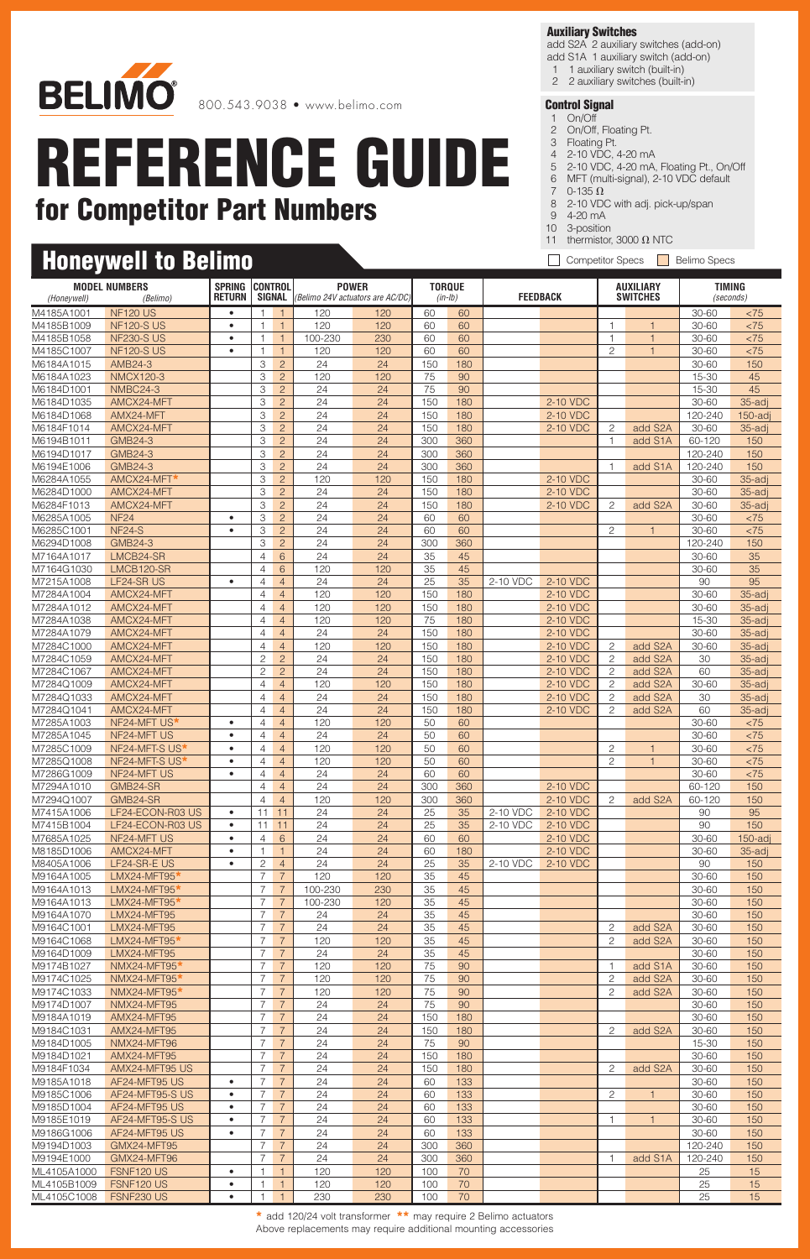

### **Honeywell to Belimo**

#### **Auxiliary Switches**

add S2A 2 auxiliary switches (add-on) add S1A 1 auxiliary switch (add-on)

- 1 1 auxiliary switch (built-in)
- 2 2 auxiliary switches (built-in)

- 1 On/Off 2 On/Off, Floating Pt.
- 3 Floating Pt.
- 4 2-10 VDC, 4-20 mA
- 5 2-10 VDC, 4-20 mA, Floating Pt., On/Off
- 6 MFT (multi-signal), 2-10 VDC default 7  $0-135 \Omega$
- 8 2-10 VDC with adj. pick-up/span
- 9 4-20 mA
- 10 3-position
- 11 thermistor, 3000  $\Omega$  NTC
- Competitor Specs **Belimo Specs**

| <b>MODEL NUMBERS</b>     |                               | <b>SPRING</b>  | <b>CONTROL</b>                   |                                  | <b>POWER</b>                     |           | <b>TORQUE</b> |            |                 |                      | <b>AUXILIARY</b>        |                | <b>TIMING</b>      |                      |
|--------------------------|-------------------------------|----------------|----------------------------------|----------------------------------|----------------------------------|-----------|---------------|------------|-----------------|----------------------|-------------------------|----------------|--------------------|----------------------|
| (Honeywell)              | (Belimo)                      | <b>RETURN</b>  | SIGNAL                           |                                  | (Belimo 24V actuators are AC/DC) |           |               | $(in-lb)$  | <b>FEEDBACK</b> |                      | <b>SWITCHES</b>         |                | (seconds)          |                      |
| M4185A1001               | <b>NF120 US</b>               | $\bullet$      | 1                                | $\overline{1}$                   | 120                              | 120       | 60            | 60         |                 |                      |                         |                | 30-60              | < 75                 |
| M4185B1009               | <b>NF120-S US</b>             | $\bullet$      | $\mathbf{1}$                     | $\overline{1}$                   | 120                              | 120       | 60            | 60         |                 |                      | $\overline{\mathbf{1}}$ | $\overline{1}$ | $30 - 60$          | < 75                 |
| M4185B1058               | <b>NF230-S US</b>             | $\bullet$      | $\mathbf{1}$                     | $\overline{1}$                   | 100-230                          | 230       | 60            | 60         |                 |                      | $\overline{1}$          | $\overline{1}$ | 30-60              | < 75                 |
| M4185C1007               | <b>NF120-S US</b>             | $\bullet$      | $\overline{1}$                   | $\mathbf{1}$                     | 120                              | 120       | 60            | 60         |                 |                      | $\overline{c}$          | $\overline{1}$ | 30-60              | < 75                 |
| M6184A1015               | AMB24-3                       |                | 3                                | $\overline{c}$                   | 24                               | 24        | 150           | 180        |                 |                      |                         |                | 30-60              | 150                  |
| M6184A1023               | <b>NMCX120-3</b>              |                | 3                                | $\overline{2}$                   | 120                              | 120       | 75            | 90         |                 |                      |                         |                | 15-30              | 45                   |
| M6184D1001               | <b>NMBC24-3</b><br>AMCX24-MFT |                | 3<br>3                           | $\overline{c}$                   | 24<br>24                         | 24<br>24  | 75<br>150     | 90<br>180  |                 | 2-10 VDC             |                         |                | 15-30<br>30-60     | 45                   |
| M6184D1035<br>M6184D1068 | AMX24-MFT                     |                | 3                                | $\overline{2}$<br>$\overline{c}$ | 24                               | 24        | 150           | 180        |                 | 2-10 VDC             |                         |                | 120-240            | 35-adj<br>$150$ -adj |
| M6184F1014               | AMCX24-MFT                    |                | 3                                | $\overline{c}$                   | 24                               | 24        | 150           | 180        |                 | 2-10 VDC             | $\overline{c}$          | add S2A        | 30-60              | 35-adj               |
| M6194B1011               | <b>GMB24-3</b>                |                | 3                                | $\overline{2}$                   | 24                               | 24        | 300           | 360        |                 |                      | $\overline{1}$          | add S1A        | 60-120             | 150                  |
| M6194D1017               | <b>GMB24-3</b>                |                | 3                                | $\overline{c}$                   | 24                               | 24        | 300           | 360        |                 |                      |                         |                | 120-240            | 150                  |
| M6194E1006               | <b>GMB24-3</b>                |                | 3                                | $\overline{2}$                   | 24                               | 24        | 300           | 360        |                 |                      | $\overline{1}$          | add S1A        | 120-240            | 150                  |
| M6284A1055               | AMCX24-MFT*                   |                | 3                                | $\overline{c}$                   | 120                              | 120       | 150           | 180        |                 | 2-10 VDC             |                         |                | 30-60              | 35-adj               |
| M6284D1000               | AMCX24-MFT                    |                | 3                                | $\overline{2}$                   | 24                               | 24        | 150           | 180        |                 | 2-10 VDC             |                         |                | 30-60              | 35-adj               |
| M6284F1013               | AMCX24-MFT                    |                | 3                                | $\overline{c}$                   | 24                               | 24        | 150           | 180        |                 | 2-10 VDC             | $\overline{c}$          | add S2A        | 30-60              | 35-adj               |
| M6285A1005               | <b>NF24</b>                   | $\bullet$      | 3                                | $\overline{c}$                   | 24                               | 24        | 60            | 60         |                 |                      |                         |                | 30-60              | < 75                 |
| M6285C1001               | <b>NF24-S</b>                 | $\bullet$      | 3                                | $\overline{2}$                   | 24                               | 24        | 60            | 60         |                 |                      | $\overline{c}$          | $\overline{1}$ | 30-60              | < 75                 |
| M6294D1008               | <b>GMB24-3</b>                |                | З                                | $\overline{c}$                   | 24                               | 24        | 300           | 360        |                 |                      |                         |                | 120-240            | 150                  |
| M7164A1017               | LMCB24-SR                     |                | 4                                | 6                                | 24                               | 24        | 35            | 45         |                 |                      |                         |                | 30-60              | 35                   |
| M7164G1030               | LMCB120-SR                    |                | $\overline{4}$                   | 6                                | 120                              | 120       | 35            | 45         |                 |                      |                         |                | 30-60              | 35                   |
| M7215A1008<br>M7284A1004 | LF24-SR US<br>AMCX24-MFT      | $\bullet$      | $\overline{4}$<br>$\overline{4}$ | $\overline{4}$<br>$\overline{4}$ | 24<br>120                        | 24<br>120 | 25<br>150     | 35<br>180  | 2-10 VDC        | 2-10 VDC<br>2-10 VDC |                         |                | 90<br>30-60        | 95<br>35-adj         |
| M7284A1012               | AMCX24-MFT                    |                | $\overline{4}$                   | $\overline{4}$                   | 120                              | 120       | 150           | 180        |                 | 2-10 VDC             |                         |                | 30-60              | 35-adj               |
| M7284A1038               | AMCX24-MFT                    |                | $\overline{4}$                   | $\overline{4}$                   | 120                              | 120       | 75            | 180        |                 | 2-10 VDC             |                         |                | 15-30              | 35-adj               |
| M7284A1079               | AMCX24-MFT                    |                | $\overline{4}$                   | $\overline{4}$                   | 24                               | 24        | 150           | 180        |                 | 2-10 VDC             |                         |                | 30-60              | 35-adj               |
| M7284C1000               | AMCX24-MFT                    |                | $\overline{4}$                   | $\overline{4}$                   | 120                              | 120       | 150           | 180        |                 | 2-10 VDC             | $\overline{c}$          | add S2A        | 30-60              | 35-adj               |
| M7284C1059               | AMCX24-MFT                    |                | $\mathbf{2}$                     | $\overline{c}$                   | 24                               | 24        | 150           | 180        |                 | 2-10 VDC             | $\overline{c}$          | add S2A        | 30                 | 35-adj               |
| M7284C1067               | AMCX24-MFT                    |                | $\overline{c}$                   | $\overline{c}$                   | 24                               | 24        | 150           | 180        |                 | 2-10 VDC             | $\overline{c}$          | add S2A        | 60                 | 35-adj               |
| M7284Q1009               | AMCX24-MFT                    |                | $\overline{4}$                   | $\overline{4}$                   | 120                              | 120       | 150           | 180        |                 | 2-10 VDC             | 2                       | add S2A        | 30-60              | 35-adj               |
| M7284Q1033               | AMCX24-MFT                    |                | 4                                | $\overline{4}$                   | 24                               | 24        | 150           | 180        |                 | 2-10 VDC             | $\overline{c}$          | add S2A        | 30                 | 35-adj               |
| M7284Q1041               | AMCX24-MFT                    |                | $\overline{4}$                   | $\overline{4}$                   | 24                               | 24        | 150           | 180        |                 | 2-10 VDC             | $\overline{c}$          | add S2A        | 60                 | 35-adj               |
| M7285A1003               | NF24-MFT US*                  | ٠              | $\overline{4}$                   | $\overline{4}$                   | 120                              | 120       | 50            | 60         |                 |                      |                         |                | $30 - 60$          | < 75                 |
| M7285A1045               | NF24-MFT US                   | $\bullet$      | $\overline{4}$                   | $\overline{4}$                   | 24                               | 24        | 50            | 60         |                 |                      |                         |                | 30-60              | < 75                 |
| M7285C1009               | NF24-MFT-S US*                | ٠<br>$\bullet$ | $\overline{4}$                   | $\overline{4}$                   | 120                              | 120       | 50            | 60         |                 |                      | $\overline{c}$          | $\overline{1}$ | 30-60              | < 75                 |
| M7285Q1008<br>M7286G1009 | NF24-MFT-S US*<br>NF24-MFT US | $\bullet$      | $\overline{4}$<br>$\overline{4}$ | $\overline{4}$<br>$\overline{4}$ | 120<br>24                        | 120<br>24 | 50<br>60      | 60<br>60   |                 |                      | $\overline{c}$          | $\overline{1}$ | 30-60<br>30-60     | < 75<br>$<75$        |
| M7294A1010               | GMB24-SR                      |                | 4                                | $\overline{4}$                   | 24                               | 24        | 300           | 360        |                 | 2-10 VDC             |                         |                | 60-120             | 150                  |
| M7294Q1007               | GMB24-SR                      |                | $\overline{4}$                   | $\overline{4}$                   | 120                              | 120       | 300           | 360        |                 | 2-10 VDC             | 2                       | add S2A        | 60-120             | 150                  |
| M7415A1006               | LF24-ECON-R03 US              | ٠              |                                  | $11 \quad 11$                    | 24                               | 24        | 25            | 35         | 2-10 VDC        | 2-10 VDC             |                         |                | 90                 | 95                   |
| M7415B1004               | LF24-ECON-R03 US              | $\bullet$      | 11                               | 11                               | 24                               | 24        | 25            | 35         | 2-10 VDC        | 2-10 VDC             |                         |                | 90                 | 150                  |
| M7685A1025               | NF24-MFT US                   | $\bullet$      | $\overline{4}$                   | $6\phantom{.}6$                  | 24                               | 24        | 60            | 60         |                 | 2-10 VDC             |                         |                | 30-60              | $150$ -adj           |
| M8185D1006               | AMCX24-MFT                    | $\bullet$      | $\mathbf{1}$                     | $\overline{1}$                   | 24                               | 24        | 60            | 180        |                 | 2-10 VDC             |                         |                | 30-60              | 35-adj               |
| M8405A1006               | LF24-SR-E US                  | $\bullet$      | $\overline{c}$                   | $\overline{4}$                   | 24                               | 24        | 25            | 35         | 2-10 VDC        | 2-10 VDC             |                         |                | 90                 | 150                  |
| M9164A1005               | LMX24-MFT95*                  |                | $\overline{7}$                   | $\overline{7}$                   | 120                              | 120       | 35            | 45         |                 |                      |                         |                | 30-60              | 150                  |
| M9164A1013               | LMX24-MFT95*                  |                | $\overline{7}$                   | $\overline{7}$                   | 100-230                          | 230       | 35            | 45         |                 |                      |                         |                | 30-60              | 150                  |
| M9164A1013               | LMX24-MFT95*                  |                | $\overline{7}$                   | $\overline{7}$                   | 100-230                          | 120       | 35            | 45         |                 |                      |                         |                | 30-60              | 150                  |
| M9164A1070               | LMX24-MFT95                   |                | $\overline{7}$                   | $\overline{7}$                   | 24                               | 24        | 35            | 45         |                 |                      |                         |                | 30-60              | 150                  |
| M9164C1001               | LMX24-MFT95                   |                | $\overline{7}$                   | $\overline{7}$                   | 24                               | 24        | 35            | 45         |                 |                      | 2                       | add S2A        | 30-60              | 150                  |
| M9164C1068               | LMX24-MFT95*                  |                | $\overline{7}$<br>$\overline{7}$ | $\overline{7}$<br>$\overline{7}$ | 120                              | 120       | 35<br>35      | 45<br>45   |                 |                      | $\overline{c}$          | add S2A        | 30-60              | 150                  |
| M9164D1009<br>M9174B1027 | LMX24-MFT95<br>NMX24-MFT95*   |                | $\overline{7}$                   | $\overline{7}$                   | 24<br>120                        | 24<br>120 | 75            | 90         |                 |                      | $\mathbf{1}$            | add S1A        | 30-60<br>30-60     | 150<br>150           |
| M9174C1025               | NMX24-MFT95*                  |                | $\overline{7}$                   | $\overline{7}$                   | 120                              | 120       | 75            | 90         |                 |                      | $\overline{c}$          | add S2A        | 30-60              | 150                  |
| M9174C1033               | NMX24-MFT95*                  |                | $\overline{7}$                   | $\overline{7}$                   | 120                              | 120       | 75            | 90         |                 |                      | 2                       | add S2A        | 30-60              | 150                  |
| M9174D1007               | NMX24-MFT95                   |                | 7                                | $\overline{7}$                   | 24                               | 24        | 75            | 90         |                 |                      |                         |                | 30-60              | 150                  |
| M9184A1019               | AMX24-MFT95                   |                | $\overline{7}$                   | $\overline{7}$                   | 24                               | 24        | 150           | 180        |                 |                      |                         |                | 30-60              | 150                  |
| M9184C1031               | AMX24-MFT95                   |                | $\overline{7}$                   | $\overline{7}$                   | 24                               | 24        | 150           | 180        |                 |                      | 2                       | add S2A        | 30-60              | 150                  |
| M9184D1005               | NMX24-MFT96                   |                | $\overline{7}$                   | $\overline{7}$                   | 24                               | 24        | 75            | 90         |                 |                      |                         |                | 15-30              | 150                  |
| M9184D1021               | AMX24-MFT95                   |                | $\overline{7}$                   | $\overline{7}$                   | 24                               | 24        | 150           | 180        |                 |                      |                         |                | 30-60              | 150                  |
| M9184F1034               | AMX24-MFT95 US                |                | $\overline{7}$                   | $\overline{7}$                   | 24                               | 24        | 150           | 180        |                 |                      | $\overline{c}$          | add S2A        | 30-60              | 150                  |
| M9185A1018               | AF24-MFT95 US                 | $\bullet$      | 7                                | $\overline{7}$                   | 24                               | 24        | 60            | 133        |                 |                      |                         |                | 30-60              | 150                  |
| M9185C1006               | AF24-MFT95-S US               | $\bullet$      | 7                                | $\overline{7}$                   | 24                               | 24        | 60            | 133        |                 |                      | 2                       | $\overline{1}$ | 30-60              | 150                  |
| M9185D1004               | AF24-MFT95 US                 | $\bullet$      | $\overline{7}$                   | $\overline{7}$                   | 24                               | 24        | 60            | 133        |                 |                      |                         |                | 30-60              | 150                  |
| M9185E1019               | AF24-MFT95-S US               | $\bullet$      | $\overline{7}$                   | $\overline{7}$                   | 24                               | 24        | 60            | 133        |                 |                      | 1                       | $\mathbf{1}$   | 30-60              | 150                  |
| M9186G1006               | AF24-MFT95 US                 | $\bullet$      | 7<br>$\overline{7}$              | $\overline{7}$                   | 24                               | 24        | 60            | 133        |                 |                      |                         |                | 30-60              | 150                  |
| M9194D1003<br>M9194E1000 | GMX24-MFT95<br>GMX24-MFT96    |                | $\overline{7}$                   | $\overline{7}$<br>$\overline{7}$ | 24<br>24                         | 24<br>24  | 300<br>300    | 360<br>360 |                 |                      | $\mathbf{1}$            | add S1A        | 120-240<br>120-240 | 150<br>150           |
| ML4105A1000              | FSNF120 US                    | $\bullet$      | 1                                | $\mathbf{1}$                     | 120                              | 120       | 100           | 70         |                 |                      |                         |                | 25                 | 15                   |
| ML4105B1009              | FSNF120 US                    | $\bullet$      | 1                                | $\mathbf{1}$                     | 120                              | 120       | 100           | 70         |                 |                      |                         |                | 25                 | 15                   |
| ML4105C1008              | <b>FSNF230 US</b>             | $\bullet$      | 1                                | $\overline{1}$                   | 230                              | 230       | 100           | 70         |                 |                      |                         |                | 25                 | 15                   |

**\*** add 120/24 volt transformer **\*\*** may require 2 Belimo actuators Above replacements may require additional mounting accessories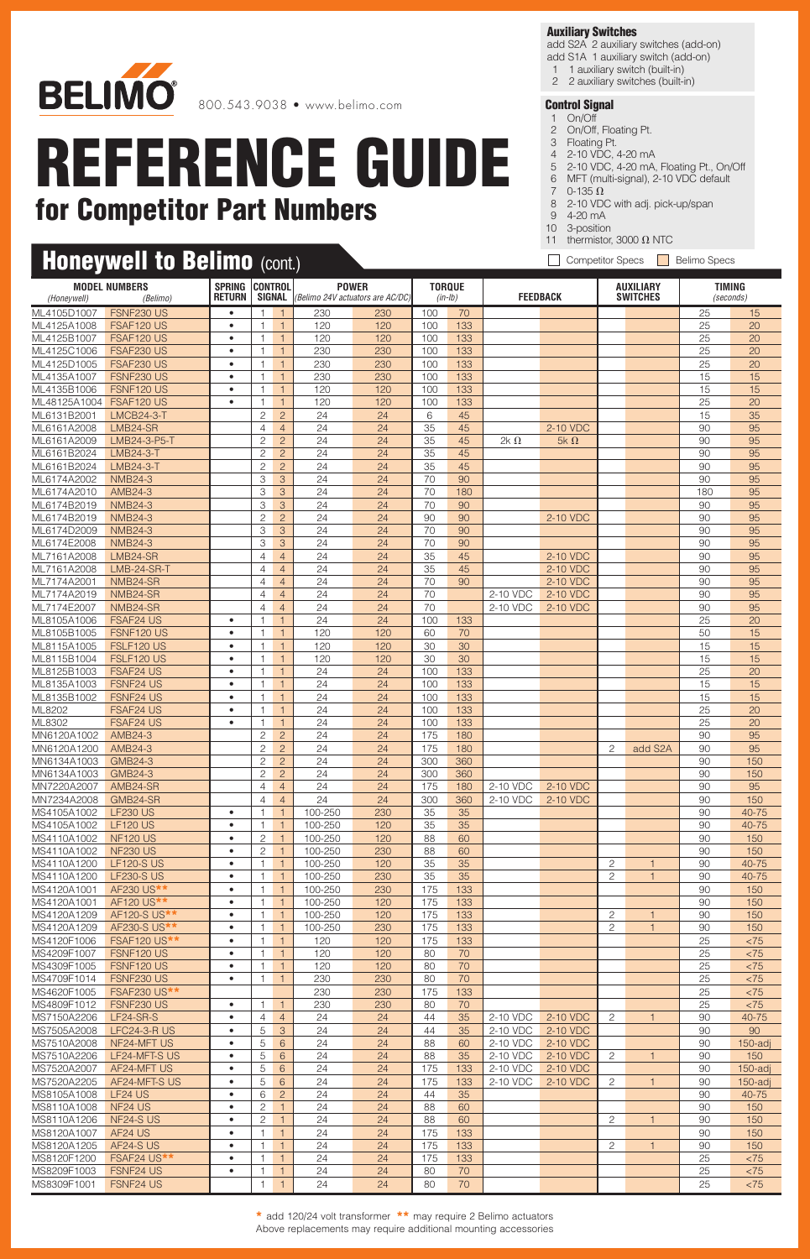

### **Honeywell to Belimo** (cont.)

#### **Auxiliary Switches**

add S2A 2 auxiliary switches (add-on) add S1A 1 auxiliary switch (add-on)

- 1 1 auxiliary switch (built-in)
- 2 2 auxiliary switches (built-in)

#### **Control Signal**

- 1 On/Off 2 On/Off, Floating Pt.
- 3 Floating Pt.
- 4 2-10 VDC, 4-20 mA
- 5 2-10 VDC, 4-20 mA, Floating Pt., On/Off
- 6 MFT (multi-signal), 2-10 VDC default
- 7  $0-135 \Omega$
- 8 2-10 VDC with adj. pick-up/span
- 9 4-20 mA
- 10 3-position 11 thermistor, 3000  $\Omega$  NTC
- Competitor Specs **Belimo Specs**

| المتعالمات المتعالما<br>(Honeywell) | <b>MODEL NUMBERS</b><br>(Belimo)   | <b>SPRING</b><br><b>RETURN</b> | <b>CONTROL</b>                   | $\sqrt{2}$<br>SIGNAL             | <b>POWER</b><br>(Belimo 24V actuators are AC/DC) |            | <b>TORQUE</b><br>$(in-lb)$ |            | <b>FEEDBACK</b>      |                      |                | <b>AUXILIARY</b><br><b>SWITCHES</b> | <b>TIMING</b><br>(seconds) |                   |
|-------------------------------------|------------------------------------|--------------------------------|----------------------------------|----------------------------------|--------------------------------------------------|------------|----------------------------|------------|----------------------|----------------------|----------------|-------------------------------------|----------------------------|-------------------|
|                                     |                                    |                                |                                  |                                  |                                                  |            |                            |            |                      |                      |                |                                     |                            |                   |
| ML4105D1007<br>ML4125A1008          | FSNF230 US<br>FSAF120 US           | $\bullet$<br>$\bullet$         | $\overline{1}$<br>$\mathbf{1}$   | $\blacklozenge$<br>$\mathbf{1}$  | 230<br>120                                       | 230<br>120 | 100<br>100                 | 70<br>133  |                      |                      |                |                                     | 25<br>25                   | 15<br>20          |
| ML4125B1007                         | FSAF120 US                         | $\bullet$                      | $\mathbf{1}$                     | $\overline{1}$                   | 120                                              | 120        | 100                        | 133        |                      |                      |                |                                     | 25                         | 20                |
| ML4125C1006                         | FSAF230 US                         | $\bullet$                      | $\mathbf{1}$                     | $\overline{1}$                   | 230                                              | 230        | 100                        | 133        |                      |                      |                |                                     | 25                         | 20                |
| ML4125D1005                         | FSAF230 US                         | $\bullet$                      | $\mathbf{1}$                     | $\mathbf{1}$                     | 230                                              | 230        | 100                        | 133        |                      |                      |                |                                     | 25                         | 20                |
| ML4135A1007                         | FSNF230 US                         | $\bullet$                      | 1                                | $\mathbf{1}$                     | 230                                              | 230        | 100                        | 133        |                      |                      |                |                                     | 15                         | 15                |
| ML4135B1006                         | FSNF120 US                         | $\bullet$                      | $\mathbf{1}$                     | $\overline{1}$                   | 120                                              | 120        | 100                        | 133        |                      |                      |                |                                     | 15                         | 15                |
| ML48125A1004                        | FSAF120 US                         | $\bullet$                      | $\mathbf{1}$                     | $\mathbf{1}$                     | 120                                              | 120        | 100                        | 133        |                      |                      |                |                                     | 25                         | 20                |
| ML6131B2001<br>ML6161A2008          | <b>LMCB24-3-T</b><br>LMB24-SR      |                                | 2<br>$\overline{4}$              | $\overline{2}$<br>$\overline{4}$ | 24<br>24                                         | 24<br>24   | 6<br>35                    | 45<br>45   |                      | 2-10 VDC             |                |                                     | 15<br>90                   | 35<br>95          |
| ML6161A2009                         | LMB24-3-P5-T                       |                                | $\mathbf{2}$                     | $\overline{c}$                   | 24                                               | 24         | 35                         | 45         | 2k $\Omega$          | 5k $\Omega$          |                |                                     | 90                         | 95                |
| ML6161B2024                         | LMB24-3-T                          |                                | $\overline{c}$                   | $\overline{2}$                   | 24                                               | 24         | 35                         | 45         |                      |                      |                |                                     | 90                         | 95                |
| ML6161B2024                         | LMB24-3-T                          |                                | $\mathbf{2}$                     | $\overline{c}$                   | 24                                               | 24         | 35                         | 45         |                      |                      |                |                                     | 90                         | 95                |
| ML6174A2002                         | <b>NMB24-3</b>                     |                                | 3                                | 3                                | 24                                               | 24         | 70                         | 90         |                      |                      |                |                                     | 90                         | 95                |
| ML6174A2010                         | AMB24-3                            |                                | 3                                | 3                                | 24                                               | 24         | 70                         | 180        |                      |                      |                |                                     | 180                        | 95                |
| ML6174B2019                         | <b>NMB24-3</b>                     |                                | 3                                | $\mathcal{S}$                    | 24                                               | 24         | 70                         | 90         |                      |                      |                |                                     | 90                         | 95                |
| ML6174B2019                         | <b>NMB24-3</b><br><b>NMB24-3</b>   |                                | $\sqrt{2}$<br>3                  | $\overline{2}$<br>3              | 24<br>24                                         | 24<br>24   | 90<br>70                   | 90         |                      | 2-10 VDC             |                |                                     | 90<br>90                   | 95                |
| ML6174D2009<br>ML6174E2008          | <b>NMB24-3</b>                     |                                | 3                                | 3                                | 24                                               | 24         | 70                         | 90<br>90   |                      |                      |                |                                     | 90                         | 95<br>95          |
| ML7161A2008                         | LMB24-SR                           |                                | $\overline{4}$                   | $\overline{4}$                   | 24                                               | 24         | 35                         | 45         |                      | 2-10 VDC             |                |                                     | 90                         | 95                |
| ML7161A2008                         | LMB-24-SR-T                        |                                | $\overline{4}$                   | $\overline{4}$                   | 24                                               | 24         | 35                         | 45         |                      | 2-10 VDC             |                |                                     | 90                         | 95                |
| ML7174A2001                         | NMB24-SR                           |                                | $\overline{4}$                   | $\overline{4}$                   | 24                                               | 24         | 70                         | 90         |                      | 2-10 VDC             |                |                                     | 90                         | 95                |
| ML7174A2019                         | NMB24-SR                           |                                | $\overline{4}$                   | $\overline{4}$                   | 24                                               | 24         | 70                         |            | 2-10 VDC             | 2-10 VDC             |                |                                     | 90                         | 95                |
| ML7174E2007                         | NMB24-SR                           |                                | $\overline{4}$                   | $\overline{4}$                   | 24                                               | 24         | 70                         |            | 2-10 VDC             | 2-10 VDC             |                |                                     | 90                         | 95                |
| ML8105A1006                         | <b>FSAF24 US</b>                   | $\bullet$                      | $\mathbf{1}$                     | $\mathbf{1}$                     | 24                                               | 24         | 100                        | 133        |                      |                      |                |                                     | 25                         | 20                |
| ML8105B1005<br>ML8115A1005          | FSNF120 US<br>FSLF120 US           | $\bullet$<br>$\bullet$         | $\mathbf{1}$<br>1                | $\mathbf{1}$<br>$\overline{1}$   | 120<br>120                                       | 120<br>120 | 60<br>30                   | 70<br>30   |                      |                      |                |                                     | 50<br>15                   | 15<br>15          |
| ML8115B1004                         | FSLF120 US                         | $\bullet$                      | $\mathbf{1}$                     | $\mathbf{1}$                     | 120                                              | 120        | 30                         | 30         |                      |                      |                |                                     | 15                         | 15                |
| ML8125B1003                         | <b>FSAF24 US</b>                   | $\bullet$                      | $\mathbf{1}$                     | $\mathbf{1}$                     | 24                                               | 24         | 100                        | 133        |                      |                      |                |                                     | 25                         | 20                |
| ML8135A1003                         | <b>FSNF24 US</b>                   | $\bullet$                      | $\mathbf{1}$                     | $\overline{1}$                   | 24                                               | 24         | 100                        | 133        |                      |                      |                |                                     | 15                         | 15                |
| ML8135B1002                         | FSNF24 US                          | $\bullet$                      | $\mathbf{1}$                     | $\mathbf{1}$                     | 24                                               | 24         | 100                        | 133        |                      |                      |                |                                     | 15                         | 15                |
| ML8202                              | FSAF24 US                          | $\bullet$                      | $\mathbf{1}$                     | $\mathbf{1}$                     | 24                                               | 24         | 100                        | 133        |                      |                      |                |                                     | 25                         | 20                |
| ML8302                              | <b>FSAF24 US</b>                   | $\bullet$                      | $\mathbf{1}$                     | $\mathbf{1}$                     | 24                                               | 24         | 100                        | 133        |                      |                      |                |                                     | 25                         | 20                |
| MN6120A1002<br>MN6120A1200          | AMB24-3<br>AMB24-3                 |                                | $\overline{c}$<br>$\overline{c}$ | $\overline{c}$<br>$\overline{c}$ | 24<br>24                                         | 24<br>24   | 175<br>175                 | 180<br>180 |                      |                      | $\overline{c}$ | add S2A                             | 90<br>90                   | 95<br>95          |
| MN6134A1003                         | <b>GMB24-3</b>                     |                                | $\overline{c}$                   | $\overline{2}$                   | 24                                               | 24         | 300                        | 360        |                      |                      |                |                                     | 90                         | 150               |
| MN6134A1003                         | GMB24-3                            |                                | $\mathbf{2}$                     | $\overline{c}$                   | 24                                               | 24         | 300                        | 360        |                      |                      |                |                                     | 90                         | 150               |
| MN7220A2007                         | AMB24-SR                           |                                | $\overline{4}$                   | $\overline{4}$                   | 24                                               | 24         | 175                        | 180        | 2-10 VDC             | 2-10 VDC             |                |                                     | 90                         | 95                |
| MN7234A2008                         | GMB24-SR                           |                                | $\overline{4}$                   | $\overline{4}$                   | 24                                               | 24         | 300                        | 360        | 2-10 VDC             | 2-10 VDC             |                |                                     | 90                         | 150               |
| MS4105A1002                         | <b>LF230 US</b>                    | $\bullet$                      | $\mathbf{1}$                     | $\mathbf{1}$                     | 100-250                                          | 230        | 35                         | 35         |                      |                      |                |                                     | 90                         | 40-75             |
| MS4105A1002                         | <b>LF120 US</b>                    | $\bullet$                      | $\overline{1}$                   | $\mathbf{1}$                     | 100-250                                          | 120        | 35                         | 35         |                      |                      |                |                                     | 90                         | 40-75             |
| MS4110A1002<br>MS4110A1002          | <b>NF120 US</b><br><b>NF230 US</b> | $\bullet$<br>$\bullet$         | $\overline{c}$<br>$\overline{2}$ | $\overline{1}$<br>$\overline{1}$ | 100-250<br>100-250                               | 120<br>230 | 88<br>88                   | 60<br>60   |                      |                      |                |                                     | 90<br>90                   | 150<br>150        |
| MS4110A1200                         | <b>LF120-S US</b>                  | $\bullet$                      | $\mathbf{1}$                     | $\vert$ 1                        | 100-250                                          | 120        | 35                         | 35         |                      |                      | 2              | $\mathbf{1}$                        | 90                         | 40-75             |
| MS4110A1200                         | <b>LF230-S US</b>                  | $\bullet$                      | $\mathbf{1}$                     | $\overline{1}$                   | 100-250                                          | 230        | 35                         | 35         |                      |                      | $\overline{c}$ | $\mathbf{1}$                        | 90                         | 40-75             |
| MS4120A1001                         | AF230 US**                         | $\bullet$                      | $\mathbf{1}$                     | $\overline{1}$                   | 100-250                                          | 230        | 175                        | 133        |                      |                      |                |                                     | 90                         | 150               |
| MS4120A1001                         | AF120 US**                         | $\bullet$                      | $\mathbf{1}$                     | $\mathbf{1}$                     | 100-250                                          | 120        | 175                        | 133        |                      |                      |                |                                     | 90                         | 150               |
| MS4120A1209                         | AF120-S US**                       | $\bullet$                      | 1                                | $\mathbf{1}$                     | 100-250                                          | 120        | 175                        | 133        |                      |                      | $\overline{c}$ | $\mathbf{1}$                        | 90                         | 150               |
| MS4120A1209                         | AF230-S US**                       | $\bullet$<br>$\bullet$         | $\mathbf{1}$<br>$\mathbf{1}$     | $\overline{1}$<br>$\vert$ 1      | 100-250                                          | 230        | 175<br>175                 | 133        |                      |                      | 2              | $\mathbf{1}$                        | 90                         | 150               |
| MS4120F1006<br>MS4209F1007          | <b>FSAF120 US**</b><br>FSNF120 US  | $\bullet$                      | $\mathbf{1}$                     | $\mathbf{1}$                     | 120<br>120                                       | 120<br>120 | 80                         | 133<br>70  |                      |                      |                |                                     | 25<br>25                   | < 75<br>< 75      |
| MS4309F1005                         | FSNF120 US                         | $\bullet$                      | $\mathbf{1}$                     | $\vert$ 1                        | 120                                              | 120        | 80                         | 70         |                      |                      |                |                                     | 25                         | < 75              |
| MS4709F1014                         | <b>FSNF230 US</b>                  | $\bullet$                      | $\mathbf{1}$                     | $\overline{1}$                   | 230                                              | 230        | 80                         | 70         |                      |                      |                |                                     | 25                         | < 75              |
| MS4620F1005                         | <b>FSAF230 US**</b>                |                                |                                  |                                  | 230                                              | 230        | 175                        | 133        |                      |                      |                |                                     | 25                         | < 75              |
| MS4809F1012                         | FSNF230 US                         | $\bullet$                      | 1                                | $\mathbf{1}$                     | 230                                              | 230        | 80                         | 70         |                      |                      |                |                                     | 25                         | < 75              |
| MS7150A2206                         | LF24-SR-S                          | $\bullet$                      | $\overline{4}$                   | $\overline{4}$                   | 24                                               | 24         | 44                         | 35         | 2-10 VDC             | 2-10 VDC             | $\overline{c}$ | $\mathbf{1}$                        | 90                         | 40-75             |
| MS7505A2008                         | <b>LFC24-3-R US</b>                | $\bullet$                      | 5                                | $\mathfrak{S}$                   | 24                                               | 24         | 44                         | 35         | 2-10 VDC             | 2-10 VDC             |                |                                     | 90                         | 90                |
| MS7510A2008                         | NF24-MFT US                        | $\bullet$<br>$\bullet$         | 5                                | $\,6\,$<br>6                     | 24<br>24                                         | 24<br>24   | 88                         | 60         | 2-10 VDC             | 2-10 VDC             |                | $\mathbf{1}$                        | 90                         | $150$ -adj<br>150 |
| MS7510A2206<br>MS7520A2007          | LF24-MFT-S US<br>AF24-MFT US       | $\bullet$                      | 5<br>5                           | 6                                | 24                                               | 24         | 88<br>175                  | 35<br>133  | 2-10 VDC<br>2-10 VDC | 2-10 VDC<br>2-10 VDC | 2              |                                     | 90<br>90                   | $150$ -adj        |
| MS7520A2205                         | AF24-MFT-S US                      | $\bullet$                      | 5                                | 6                                | 24                                               | 24         | 175                        | 133        | 2-10 VDC             | 2-10 VDC             | 2              | $\mathbf{1}$                        | 90                         | $150$ -adj        |
| MS8105A1008                         | LF24 US                            | $\bullet$                      | 6                                | $\overline{c}$                   | 24                                               | 24         | 44                         | 35         |                      |                      |                |                                     | 90                         | 40-75             |
| MS8110A1008                         | NF <sub>24</sub> US                | $\bullet$                      | $\overline{c}$                   | $\vert$ 1                        | 24                                               | 24         | 88                         | 60         |                      |                      |                |                                     | 90                         | 150               |
| MS8110A1206                         | NF24-SUS                           | $\bullet$                      | $\mathbf{2}$                     | $\mathbf{1}$                     | 24                                               | 24         | 88                         | 60         |                      |                      | $\mathbf{2}$   | $\mathbf{1}$                        | 90                         | 150               |
| MS8120A1007                         | AF24 US                            | $\bullet$                      | $\mathbf{1}$                     | $\mathbf{1}$                     | 24                                               | 24         | 175                        | 133        |                      |                      |                |                                     | 90                         | 150               |
| MS8120A1205                         | AF24-S US                          | $\bullet$                      | $\mathbf{1}$                     | $\mathbf{1}$                     | 24                                               | 24         | 175                        | 133        |                      |                      | 2              | $\mathbf{1}$                        | 90                         | 150               |
| MS8120F1200<br>MS8209F1003          | FSAF24 US**<br>FSNF24 US           | $\bullet$<br>$\bullet$         | $\mathbf{1}$<br>$\mathbf{1}$     | $\overline{1}$<br>$\mathbf{1}$   | 24<br>24                                         | 24<br>24   | 175<br>80                  | 133<br>70  |                      |                      |                |                                     | 25<br>25                   | < 75<br>< 75      |
| MS8309F1001                         | FSNF24 US                          |                                | $\mathbf{1}$                     | $\vert$ 1                        | 24                                               | 24         | 80                         | 70         |                      |                      |                |                                     | 25                         | < 75              |
|                                     |                                    |                                |                                  |                                  |                                                  |            |                            |            |                      |                      |                |                                     |                            |                   |

**\*** add 120/24 volt transformer **\*\*** may require 2 Belimo actuators Above replacements may require additional mounting accessories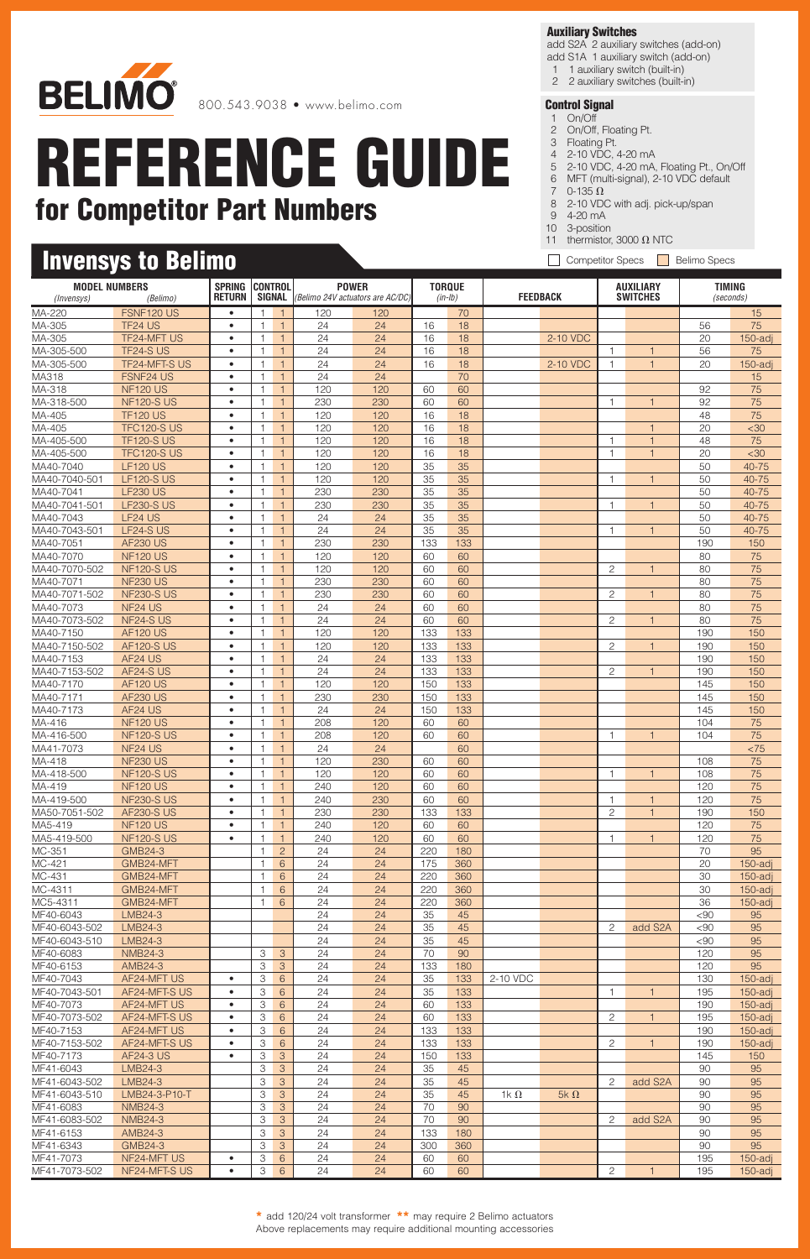

### **Invensys to Belimo**

#### **Auxiliary Switches**

add S2A 2 auxiliary switches (add-on) add S1A 1 auxiliary switch (add-on)

- 1 1 auxiliary switch (built-in)
- 2 2 auxiliary switches (built-in)

- 1 On/Off 2 On/Off, Floating Pt.
- 3 Floating Pt.
- 4 2-10 VDC, 4-20 mA
- 5 2-10 VDC, 4-20 mA, Floating Pt., On/Off
- 6 MFT (multi-signal), 2-10 VDC default 7  $0-135 \Omega$
- 8 2-10 VDC with adj. pick-up/span
- 9 4-20 mA
- 10 3-position
- 11 thermistor, 3000  $\Omega$  NTC
- Competitor Specs **Belimo Specs**

| <b>MODEL NUMBERS</b>       |                                      | <b>SPRING</b>          | <b>CONTROL</b>               |                                | <b>POWER</b>                                            |            | <b>TORQUE</b> |            |                 |             | <b>AUXILIARY</b> |                 | <b>TIMING</b> |            |
|----------------------------|--------------------------------------|------------------------|------------------------------|--------------------------------|---------------------------------------------------------|------------|---------------|------------|-----------------|-------------|------------------|-----------------|---------------|------------|
| (Invensys)                 | (Belimo)                             | <b>RETURN</b>          |                              |                                | <b>SIGNAL</b> ( <i>Belimo 24V actuators are AC/DC</i> ) |            |               | $(in-lb)$  | <b>FEEDBACK</b> |             |                  | <b>SWITCHES</b> |               | (seconds)  |
| MA-220                     | FSNF120 US                           | $\bullet$              | -1                           | $\overline{1}$                 | 120                                                     | 120        |               | 70         |                 |             |                  |                 |               | 15         |
| MA-305                     | TF24 US                              | $\bullet$              | $\mathbf{1}$                 | $\mathbf{1}$                   | 24                                                      | 24         | 16            | 18         |                 |             |                  |                 | 56            | 75         |
| MA-305                     | <b>TF24-MFT US</b>                   | $\bullet$              | $\overline{1}$               | $\overline{1}$                 | 24                                                      | 24         | 16            | 18         |                 | 2-10 VDC    |                  |                 | 20            | $150$ -adj |
| MA-305-500                 | TF24-SUS                             | $\bullet$              | $\mathbf{1}$                 | $\mathbf{1}$                   | 24                                                      | 24         | 16            | 18         |                 |             | $\mathbf{1}$     | $\mathbf{1}$    | 56            | 75         |
| MA-305-500                 | TF24-MFT-S US                        | $\bullet$              | $\mathbf{1}$                 | $\mathbf{1}$                   | 24                                                      | 24         | 16            | 18         |                 | 2-10 VDC    | 1                | $\mathbf{1}$    | 20            | $150$ -adj |
| MA318                      | <b>FSNF24 US</b><br><b>NF120 US</b>  | $\bullet$<br>$\bullet$ | $\mathbf{1}$                 | $\mathbf{1}$<br>$\overline{1}$ | 24<br>120                                               | 24<br>120  |               | 70         |                 |             |                  |                 |               | 15<br>75   |
| MA-318<br>MA-318-500       | <b>NF120-S US</b>                    | $\bullet$              | $\mathbf{1}$<br>$\mathbf{1}$ | $\mathbf{1}$                   | 230                                                     | 230        | 60<br>60      | 60<br>60   |                 |             | 1                | $\overline{1}$  | 92<br>92      | 75         |
| MA-405                     | <b>TF120 US</b>                      | $\bullet$              | $\overline{1}$               | $\mathbf{1}$                   | 120                                                     | 120        | 16            | 18         |                 |             |                  |                 | 48            | 75         |
| MA-405                     | <b>TFC120-S US</b>                   | $\bullet$              | $\overline{1}$               | $\overline{1}$                 | 120                                                     | 120        | 16            | 18         |                 |             |                  |                 | 20            | $30$       |
| MA-405-500                 | <b>TF120-S US</b>                    | $\bullet$              | $\mathbf{1}$                 | $\mathbf{1}$                   | 120                                                     | 120        | 16            | 18         |                 |             | 1                | $\mathbf{1}$    | 48            | 75         |
| MA-405-500                 | <b>TFC120-S US</b>                   | $\bullet$              | $\mathbf{1}$                 | $\mathbf{1}$                   | 120                                                     | 120        | 16            | 18         |                 |             | $\mathbf{1}$     | $\mathbf{1}$    | 20            | $30$       |
| MA40-7040                  | <b>LF120 US</b>                      | $\bullet$              | $\mathbf{1}$                 | $\mathbf{1}$                   | 120                                                     | 120        | 35            | 35         |                 |             |                  |                 | 50            | 40-75      |
| MA40-7040-501              | <b>LF120-S US</b>                    | $\bullet$              | $\mathbf{1}$                 | $\overline{1}$                 | 120                                                     | 120        | 35            | 35         |                 |             | $\overline{1}$   | $\mathbf{1}$    | 50            | 40-75      |
| MA40-7041                  | <b>LF230 US</b>                      | $\bullet$              |                              | $\mathbf{1}$                   | 230                                                     | 230        | 35            | 35         |                 |             |                  |                 | 50            | 40-75      |
| MA40-7041-501              | <b>LF230-S US</b>                    | $\bullet$              | $\mathbf{1}$                 | $\mathbf{1}$                   | 230                                                     | 230        | 35            | 35         |                 |             | $\overline{1}$   | $\overline{1}$  | 50            | 40-75      |
| MA40-7043                  | LF24 US                              | ٠                      | $\mathbf{1}$                 | $\mathbf{1}$                   | 24                                                      | 24         | 35            | 35         |                 |             |                  |                 | 50            | 40-75      |
| MA40-7043-501              | LF24-SUS                             | $\bullet$              | $\mathbf{1}$                 | $\mathbf{1}$                   | 24                                                      | 24         | 35            | 35         |                 |             | 1                | $\mathbf{1}$    | 50            | 40-75      |
| MA40-7051                  | <b>AF230 US</b>                      | $\bullet$              | $\mathbf{1}$                 | $\mathbf{1}$                   | 230                                                     | 230        | 133           | 133        |                 |             |                  |                 | 190           | 150        |
| MA40-7070                  | <b>NF120 US</b>                      |                        | $\mathbf 1$                  | $\mathbf{1}$                   | 120                                                     | 120        | 60            | 60         |                 |             |                  |                 | 80            | 75         |
| MA40-7070-502              | <b>NF120-S US</b><br><b>NF230 US</b> | $\bullet$<br>$\bullet$ | $\overline{1}$<br>1          | $\mathbf{1}$                   | 120<br>230                                              | 120        | 60            | 60         |                 |             | $\overline{c}$   | $\mathbf{1}$    | 80            | 75         |
| MA40-7071<br>MA40-7071-502 | <b>NF230-S US</b>                    | $\bullet$              | -1                           | $\mathbf{1}$<br>$\mathbf{1}$   | 230                                                     | 230<br>230 | 60<br>60      | 60<br>60   |                 |             | 2                | -1              | 80<br>80      | 75<br>75   |
| MA40-7073                  | NF <sub>24</sub> US                  | ٠                      | $\mathbf{1}$                 | $\overline{1}$                 | 24                                                      | 24         | 60            | 60         |                 |             |                  |                 | 80            | 75         |
| MA40-7073-502              | NF24-S US                            | $\bullet$              | $\mathbf{1}$                 | $\mathbf{1}$                   | 24                                                      | 24         | 60            | 60         |                 |             | $\overline{c}$   | $\mathbf{1}$    | 80            | 75         |
| MA40-7150                  | <b>AF120 US</b>                      | $\bullet$              | $\mathbf{1}$                 | $\mathbf{1}$                   | 120                                                     | 120        | 133           | 133        |                 |             |                  |                 | 190           | 150        |
| MA40-7150-502              | <b>AF120-S US</b>                    |                        | $\overline{1}$               | $\mathbf{1}$                   | 120                                                     | 120        | 133           | 133        |                 |             | 2                |                 | 190           | 150        |
| MA40-7153                  | AF24 US                              | $\bullet$              | $\mathbf{1}$                 | $\mathbf{1}$                   | 24                                                      | 24         | 133           | 133        |                 |             |                  |                 | 190           | 150        |
| MA40-7153-502              | AF24-SUS                             | $\bullet$              |                              | $\overline{1}$                 | 24                                                      | 24         | 133           | 133        |                 |             | 2                | $\mathbf{1}$    | 190           | 150        |
| MA40-7170                  | <b>AF120 US</b>                      | ٠                      | -1                           | $\overline{1}$                 | 120                                                     | 120        | 150           | 133        |                 |             |                  |                 | 145           | 150        |
| MA40-7171                  | <b>AF230 US</b>                      | $\bullet$              | $\mathbf{1}$                 | $\mathbf{1}$                   | 230                                                     | 230        | 150           | 133        |                 |             |                  |                 | 145           | 150        |
| MA40-7173                  | AF24 US                              | $\bullet$              | $\mathbf{1}$                 | $\mathbf{1}$                   | 24                                                      | 24         | 150           | 133        |                 |             |                  |                 | 145           | 150        |
| MA-416                     | <b>NF120 US</b>                      | $\bullet$              | $\mathbf{1}$                 | $\mathbf{1}$                   | 208                                                     | 120        | 60            | 60         |                 |             |                  |                 | 104           | 75         |
| MA-416-500                 | <b>NF120-S US</b>                    | ٠                      |                              | $\mathbf{1}$                   | 208                                                     | 120        | 60            | 60         |                 |             |                  | $\overline{1}$  | 104           | 75         |
| MA41-7073                  | NF <sub>24</sub> US                  | $\bullet$              | $\mathbf{1}$                 | $\mathbf{1}$                   | 24                                                      | 24         |               | 60         |                 |             |                  |                 |               | < 75       |
| MA-418                     | <b>NF230 US</b>                      | $\bullet$              | $\mathbf{1}$                 | $\mathbf{1}$                   | 120                                                     | 230        | 60            | 60         |                 |             |                  | $\overline{1}$  | 108           | 75         |
| MA-418-500<br>MA-419       | <b>NF120-S US</b><br><b>NF120 US</b> | $\bullet$<br>$\bullet$ | $\mathbf{1}$<br>$\mathbf{1}$ | $\overline{1}$<br>$\mathbf{1}$ | 120<br>240                                              | 120<br>120 | 60<br>60      | 60<br>60   |                 |             |                  |                 | 108<br>120    | 75<br>75   |
| MA-419-500                 | <b>NF230-S US</b>                    | $\bullet$              | $\mathbf{1}$                 | $\mathbf{1}$                   | 240                                                     | 230        | 60            | 60         |                 |             |                  |                 | 120           | 75         |
| MA50-7051-502              | <b>AF230-S US</b>                    | $\bullet$              | $\overline{1}$               | $\mathbf{1}$                   | 230                                                     | 230        | 133           | 133        |                 |             | $\overline{c}$   | $\overline{1}$  | 190           | 150        |
| MA5-419                    | <b>NF120 US</b>                      | $\bullet$              | 1                            | $\mathbf{1}$                   | 240                                                     | 120        | 60            | 60         |                 |             |                  |                 | 120           | 75         |
| MA5-419-500                | <b>NF120-S US</b>                    | $\bullet$              | 1.                           | $\vert$ 1                      | 240                                                     | 120        | 60            | 60         |                 |             | 1.               | $\mathbf{1}$    | 120           | 75         |
| MC-351                     | GMB24-3                              |                        | $\mathbf{1}$                 | $\overline{2}$                 | 24                                                      | 24         | 220           | 180        |                 |             |                  |                 | 70            | 95         |
| MC-421                     | GMB24-MFT                            |                        | $\mathbf{1}$                 | $6\overline{6}$                | 24                                                      | 24         | 175           | 360        |                 |             |                  |                 | 20            | 150-adj    |
| MC-431                     | GMB24-MFT                            |                        | $\mathbf{1}$                 | $6\overline{6}$                | 24                                                      | 24         | 220           | 360        |                 |             |                  |                 | 30            | $150$ -adj |
| MC-4311                    | GMB24-MFT                            |                        | $\mathbf{1}$                 | 6                              | 24                                                      | 24         | 220           | 360        |                 |             |                  |                 | 30            | $150$ -adj |
| MC5-4311                   | GMB24-MFT                            |                        | 1                            | 6                              | 24                                                      | 24         | 220           | 360        |                 |             |                  |                 | 36            | $150$ -adj |
| MF40-6043                  | LMB24-3                              |                        |                              |                                | 24                                                      | 24         | 35            | 45         |                 |             |                  |                 | ${}_{<}90$    | 95         |
| MF40-6043-502              | LMB24-3                              |                        |                              |                                | 24                                                      | 24         | 35            | 45         |                 |             | 2                | add S2A         | <90           | 95         |
| MF40-6043-510              | LMB24-3<br><b>NMB24-3</b>            |                        |                              |                                | 24<br>24                                                | 24         | 35            | 45         |                 |             |                  |                 | $90$<br>120   | 95         |
| MF40-6083<br>MF40-6153     | AMB24-3                              |                        | З<br>З                       | 3<br>3                         | 24                                                      | 24<br>24   | 70<br>133     | 90<br>180  |                 |             |                  |                 | 120           | 95<br>95   |
| MF40-7043                  | AF24-MFT US                          | ٠                      | З                            | $6\overline{6}$                | 24                                                      | 24         | 35            | 133        | 2-10 VDC        |             |                  |                 | 130           | $150$ -adj |
| MF40-7043-501              | AF24-MFT-S US                        | ٠                      | 3                            | $6\overline{6}$                | 24                                                      | 24         | 35            | 133        |                 |             | 1                | $\mathbf{1}$    | 195           | $150$ -adj |
| MF40-7073                  | AF24-MFT US                          | ٠                      | З                            | $6\overline{6}$                | 24                                                      | 24         | 60            | 133        |                 |             |                  |                 | 190           | $150$ -adj |
| MF40-7073-502              | AF24-MFT-S US                        | $\bullet$              | З                            | 6                              | 24                                                      | 24         | 60            | 133        |                 |             | 2                | $\mathbf{1}$    | 195           | $150$ -adj |
| MF40-7153                  | AF24-MFT US                          | $\bullet$              | З                            | $6^{\circ}$                    | 24                                                      | 24         | 133           | 133        |                 |             |                  |                 | 190           | $150$ -adj |
| MF40-7153-502              | AF24-MFT-S US                        |                        | З                            | $6\overline{6}$                | 24                                                      | 24         | 133           | 133        |                 |             | 2                | $\mathbf{1}$    | 190           | $150$ -adj |
| MF40-7173                  | <b>AF24-3 US</b>                     | $\bullet$              | З                            | 3                              | 24                                                      | 24         | 150           | 133        |                 |             |                  |                 | 145           | 150        |
| MF41-6043                  | LMB24-3                              |                        | З                            | 3                              | 24                                                      | 24         | 35            | 45         |                 |             |                  |                 | 90            | 95         |
| MF41-6043-502              | LMB24-3                              |                        | З                            | 3                              | 24                                                      | 24         | 35            | 45         |                 |             | 2                | add S2A         | 90            | 95         |
| MF41-6043-510              | LMB24-3-P10-T                        |                        | З                            | 3                              | 24                                                      | 24         | 35            | 45         | 1k $\Omega$     | 5k $\Omega$ |                  |                 | 90            | 95         |
| MF41-6083                  | <b>NMB24-3</b>                       |                        | З                            | 3                              | 24                                                      | 24         | 70            | 90         |                 |             |                  |                 | 90            | 95         |
| MF41-6083-502              | <b>NMB24-3</b>                       |                        | З                            | 3                              | 24                                                      | 24         | 70            | 90         |                 |             | 2                | add S2A         | 90            | 95         |
| MF41-6153<br>MF41-6343     | AMB24-3<br>GMB24-3                   |                        | 3<br>3                       | 3<br>3                         | 24<br>24                                                | 24<br>24   | 133<br>300    | 180<br>360 |                 |             |                  |                 | 90<br>90      | 95<br>95   |
| MF41-7073                  | NF24-MFT US                          | ٠                      | 3                            | $6^{\circ}$                    | 24                                                      | 24         | 60            | 60         |                 |             |                  |                 | 195           | $150$ -adj |
| MF41-7073-502              | NF24-MFT-S US                        | $\bullet$              | 3                            | $6\phantom{1}$                 | 24                                                      | 24         | 60            | 60         |                 |             | $\overline{c}$   | $\mathbf{1}$    | 195           | $150$ -adj |
|                            |                                      |                        |                              |                                |                                                         |            |               |            |                 |             |                  |                 |               |            |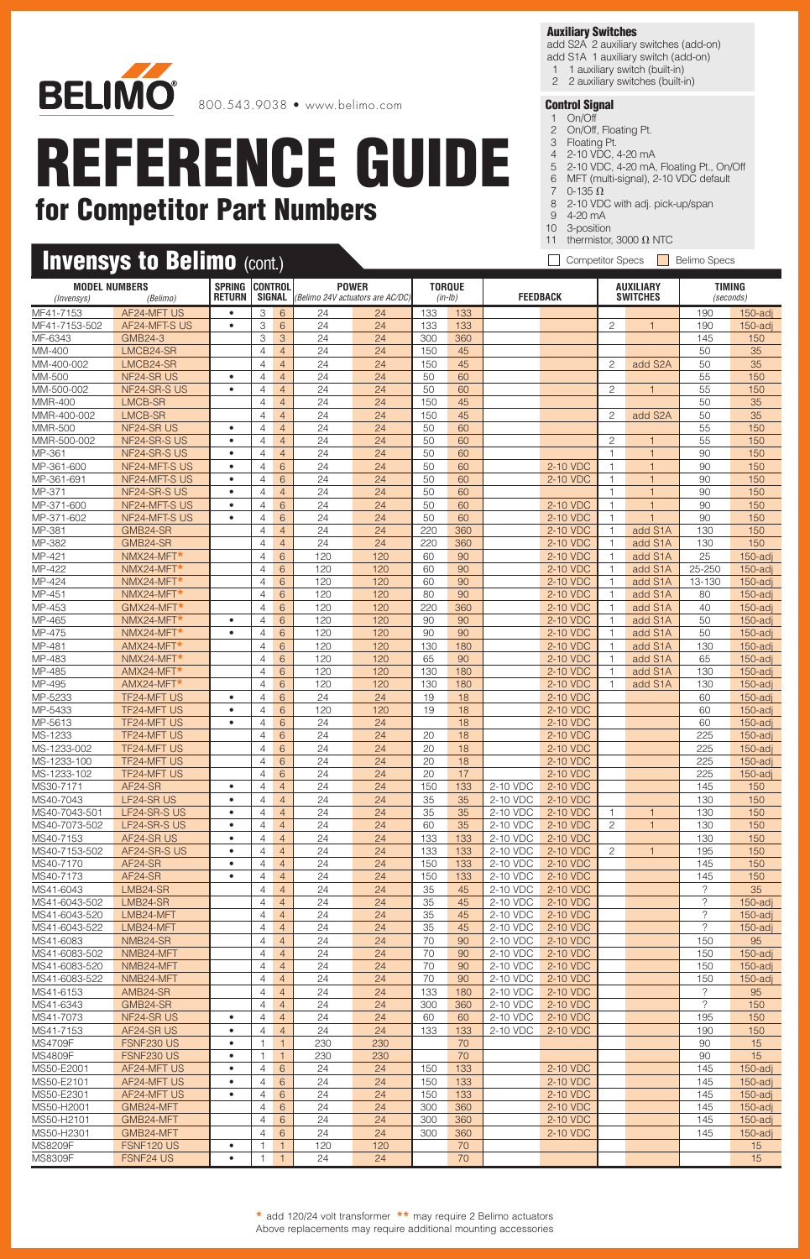

### **Invensys to Belimo (cont.)**

#### **Auxiliary Switches**

add S2A 2 auxiliary switches (add-on) add S1A 1 auxiliary switch (add-on)

- 1 1 auxiliary switch (built-in)
- 2 2 auxiliary switches (built-in)

- 1 On/Off 2 On/Off, Floating Pt.
- 3 Floating Pt.
- 4 2-10 VDC, 4-20 mA
- 5 2-10 VDC, 4-20 mA, Floating Pt., On/Off 6 MFT (multi-signal), 2-10 VDC default
- 7  $0-135 \Omega$
- 8 2-10 VDC with adj. pick-up/span
- 9 4-20 mA
- 10 3-position
- 11 thermistor, 3000  $\Omega$  NTC
- Competitor Specs **Belimo Specs**

|                        | <b>MODEL NUMBERS</b><br>(Invensys)<br>(Belimo) |                        | <b>CONTROL</b>                   |                                  | <b>POWER</b><br><b>SIGNAL</b> ( <i>Belimo 24V actuators are AC/DC</i> ) |            | <b>TORQUE</b><br>(in-Ib) |           | <b>FEEDBACK</b>      |                      | <b>AUXILIARY</b><br><b>SWITCHES</b> |                         | <b>TIMING</b><br>(seconds) |                          |
|------------------------|------------------------------------------------|------------------------|----------------------------------|----------------------------------|-------------------------------------------------------------------------|------------|--------------------------|-----------|----------------------|----------------------|-------------------------------------|-------------------------|----------------------------|--------------------------|
| MF41-7153              | AF24-MFT US                                    | $\bullet$              | 3                                | 6                                | 24                                                                      | 24         | 133                      | 133       |                      |                      |                                     |                         | 190                        | $150$ -adj               |
| MF41-7153-502          | AF24-MFT-S US                                  | $\bullet$              | 3                                | 6                                | 24                                                                      | 24         | 133                      | 133       |                      |                      | $\overline{c}$                      | $\overline{1}$          | 190                        | $150$ -adj               |
| MF-6343                | <b>GMB24-3</b>                                 |                        | 3                                | 3                                | 24                                                                      | 24         | 300                      | 360       |                      |                      |                                     |                         | 145                        | 150                      |
| MM-400                 | LMCB24-SR                                      |                        | $\overline{4}$                   | $\overline{4}$                   | 24                                                                      | 24         | 150                      | 45        |                      |                      |                                     |                         | 50                         | 35                       |
| MM-400-002             | LMCB24-SR                                      |                        | $\overline{4}$                   | $\overline{4}$                   | 24                                                                      | 24         | 150                      | 45        |                      |                      | 2                                   | add S2A                 | 50                         | 35                       |
| MM-500                 | NF24-SR US                                     | $\bullet$              | $\overline{4}$                   | $\overline{4}$                   | 24                                                                      | 24         | 50                       | 60        |                      |                      |                                     |                         | 55                         | 150                      |
| MM-500-002             | NF24-SR-S US                                   | $\bullet$              | 4                                | $\overline{4}$                   | 24                                                                      | 24         | 50                       | 60        |                      |                      | 2                                   | $\overline{1}$          | 55                         | 150                      |
| MMR-400                | LMCB-SR                                        |                        | $\overline{4}$                   | $\overline{4}$                   | 24                                                                      | 24         | 150                      | 45        |                      |                      |                                     |                         | 50                         | 35                       |
| MMR-400-002            | LMCB-SR                                        |                        | $\overline{4}$                   | $\overline{4}$                   | 24                                                                      | 24         | 150                      | 45        |                      |                      | $\overline{c}$                      | add S2A                 | 50                         | 35                       |
| <b>MMR-500</b>         | NF24-SR US                                     | $\bullet$              | $\overline{4}$                   | $\overline{4}$                   | 24                                                                      | 24         | 50                       | 60        |                      |                      |                                     |                         | 55                         | 150                      |
| MMR-500-002<br>MP-361  | NF24-SR-S US<br>NF24-SR-S US                   | $\bullet$<br>$\bullet$ | 4                                | $\overline{4}$                   | 24<br>24                                                                | 24<br>24   | 50<br>50                 | 60<br>60  |                      |                      | $\overline{c}$<br>$\overline{1}$    | 1<br>$\overline{1}$     | 55<br>90                   | 150                      |
| MP-361-600             | NF24-MFT-S US                                  | $\bullet$              | $\overline{4}$<br>$\overline{4}$ | $\overline{4}$<br>6              | 24                                                                      | 24         | 50                       | 60        |                      | 2-10 VDC             | 1                                   | $\overline{1}$          | 90                         | 150<br>150               |
| MP-361-691             | NF24-MFT-SUS                                   | $\bullet$              | 4                                | 6                                | 24                                                                      | 24         | 50                       | 60        |                      | 2-10 VDC             | 1                                   | $\mathbf{1}$            | 90                         | 150                      |
| MP-371                 | NF24-SR-S US                                   | $\bullet$              | $\overline{4}$                   | $\overline{4}$                   | 24                                                                      | 24         | 50                       | 60        |                      |                      | $\mathbf 1$                         | $\overline{1}$          | 90                         | 150                      |
| MP-371-600             | NF24-MFT-S US                                  | $\bullet$              | $\overline{4}$                   | $6\phantom{1}$                   | 24                                                                      | 24         | 50                       | 60        |                      | 2-10 VDC             | $\overline{1}$                      | $\overline{1}$          | 90                         | 150                      |
| MP-371-602             | NF24-MFT-S US                                  | $\bullet$              | $\overline{4}$                   | 6                                | 24                                                                      | 24         | 50                       | 60        |                      | 2-10 VDC             | $\mathbf{1}$                        | $\overline{1}$          | 90                         | 150                      |
| MP-381                 | GMB24-SR                                       |                        | $\overline{4}$                   | $\overline{4}$                   | 24                                                                      | 24         | 220                      | 360       |                      | 2-10 VDC             | $\overline{1}$                      | add S1A                 | 130                        | 150                      |
| MP-382                 | GMB24-SR                                       |                        | 4                                | $\overline{4}$                   | 24                                                                      | 24         | 220                      | 360       |                      | 2-10 VDC             | $\mathbf{1}$                        | add S1A                 | 130                        | 150                      |
| MP-421                 | NMX24-MFT*                                     |                        | $\overline{4}$                   | 6                                | 120                                                                     | 120        | 60                       | 90        |                      | 2-10 VDC             | $\overline{1}$                      | add S1A                 | 25                         | $150$ -adj               |
| MP-422                 | NMX24-MFT*                                     |                        | $\overline{4}$                   | 6                                | 120                                                                     | 120        | 60                       | 90        |                      | 2-10 VDC             | $\overline{1}$                      | add S1A                 | 25-250                     | 150-adi                  |
| MP-424                 | NMX24-MFT*                                     |                        | $\overline{4}$                   | 6                                | 120                                                                     | 120        | 60                       | 90        |                      | 2-10 VDC             | $\mathbf{1}$                        | add S1A                 | 13-130                     | $150$ -adj               |
| MP-451<br>MP-453       | NMX24-MFT*<br>GMX24-MFT*                       |                        | $\overline{4}$<br>$\overline{4}$ | 6<br>6                           | 120<br>120                                                              | 120<br>120 | 80<br>220                | 90<br>360 |                      | 2-10 VDC<br>2-10 VDC | $\overline{1}$<br>1                 | add S1A<br>add S1A      | 80<br>40                   | $150$ -adj<br>$150$ -adj |
| MP-465                 | NMX24-MFT*                                     | $\bullet$              | $\overline{4}$                   | 6                                | 120                                                                     | 120        | 90                       | 90        |                      | 2-10 VDC             | $\mathbf{1}$                        | add S1A                 | 50                         | $150$ -adj               |
| MP-475                 | NMX24-MFT*                                     | $\bullet$              | 4                                | 6                                | 120                                                                     | 120        | 90                       | 90        |                      | 2-10 VDC             | $\overline{1}$                      | add S1A                 | 50                         | $150$ -adj               |
| MP-481                 | AMX24-MFT*                                     |                        | $\overline{4}$                   | 6                                | 120                                                                     | 120        | 130                      | 180       |                      | 2-10 VDC             | $\overline{1}$                      | add S1A                 | 130                        | $150$ -adj               |
| MP-483                 | NMX24-MFT*                                     |                        | $\overline{4}$                   | 6                                | 120                                                                     | 120        | 65                       | 90        |                      | 2-10 VDC             | $\overline{1}$                      | add S1A                 | 65                         | $150$ -adi               |
| MP-485                 | AMX24-MFT*                                     |                        | $\overline{4}$                   | 6                                | 120                                                                     | 120        | 130                      | 180       |                      | 2-10 VDC             | $\mathbf{1}$                        | add S1A                 | 130                        | $150$ -adj               |
| MP-495                 | AMX24-MFT*                                     |                        | $\overline{4}$                   | 6                                | 120                                                                     | 120        | 130                      | 180       |                      | 2-10 VDC             | $\overline{1}$                      | add S1A                 | 130                        | $150$ -adj               |
| MP-5233                | <b>TF24-MFT US</b>                             | $\bullet$              | $\overline{4}$                   | 6                                | 24                                                                      | 24         | 19                       | 18        |                      | 2-10 VDC             |                                     |                         | 60                         | $150$ -adj               |
| MP-5433                | TF24-MFT US                                    | $\bullet$              | 4                                | 6                                | 120                                                                     | 120        | 19                       | 18        |                      | 2-10 VDC             |                                     |                         | 60                         | $150$ -adj               |
| MP-5613                | <b>TF24-MFT US</b>                             | ٠                      | $\overline{4}$                   | 6                                | 24                                                                      | 24         |                          | 18        |                      | 2-10 VDC             |                                     |                         | 60                         | $150$ -adj               |
| MS-1233<br>MS-1233-002 | <b>TF24-MFT US</b><br>TF24-MFT US              |                        | $\overline{4}$<br>$\overline{4}$ | 6<br>6                           | 24<br>24                                                                | 24<br>24   | 20<br>20                 | 18<br>18  |                      | 2-10 VDC             |                                     |                         | 225<br>225                 | $150$ -adj<br>$150$ -adj |
| MS-1233-100            | <b>TF24-MFT US</b>                             |                        | $\overline{4}$                   | 6                                | 24                                                                      | 24         | 20                       | 18        |                      | 2-10 VDC<br>2-10 VDC |                                     |                         | 225                        | $150$ -adj               |
| MS-1233-102            | TF24-MFT US                                    |                        | $\overline{4}$                   | 6                                | 24                                                                      | 24         | 20                       | 17        |                      | 2-10 VDC             |                                     |                         | 225                        | $150$ -adj               |
| MS30-7171              | AF24-SR                                        | $\bullet$              | 4                                | $\overline{4}$                   | 24                                                                      | 24         | 150                      | 133       | 2-10 VDC             | 2-10 VDC             |                                     |                         | 145                        | 150                      |
| MS40-7043              | LF24-SR US                                     | ٠                      | 4                                | $\overline{4}$                   | 24                                                                      | 24         | 35                       | 35        | 2-10 VDC             | 2-10 VDC             |                                     |                         | 130                        | 150                      |
| MS40-7043-501          | LF24-SR-S US                                   | ٠                      | $\overline{4}$                   | $\overline{4}$                   | 24                                                                      | 24         | 35                       | 35        | 2-10 VDC             | 2-10 VDC             | 1                                   | $\overline{\mathbf{1}}$ | 130                        | 150                      |
| MS40-7073-502          | LF24-SR-S US                                   | $\bullet$              | $\overline{4}$                   | $\overline{4}$                   | 24                                                                      | 24         | 60                       | 35        | 2-10 VDC             | 2-10 VDC             | 2                                   | $\mathbf{1}$            | 130                        | 150                      |
| MS40-7153              | AF24-SR US                                     | $\bullet$              | 4                                | 4                                | 24                                                                      | 24         | 133                      | 133       | 2-10 VDC             | 2-10 VDC             |                                     |                         | 130                        | 150                      |
| MS40-7153-502          | AF24-SR-S US                                   | $\bullet$              | $\overline{4}$                   | $\overline{4}$                   | 24                                                                      | 24         | 133                      | 133       | 2-10 VDC             | 2-10 VDC             | 2                                   |                         | 195                        | 150                      |
| MS40-7170              | AF24-SR                                        | $\bullet$<br>$\bullet$ | $\overline{4}$                   | $\overline{4}$                   | 24                                                                      | 24         | 150                      | 133       | 2-10 VDC             | 2-10 VDC             |                                     |                         | 145                        | 150                      |
| MS40-7173<br>MS41-6043 | AF24-SR<br>LMB24-SR                            |                        | 4<br>$\overline{4}$              | $\overline{4}$<br>$\overline{4}$ | 24<br>24                                                                | 24<br>24   | 150<br>35                | 133<br>45 | 2-10 VDC<br>2-10 VDC | 2-10 VDC<br>2-10 VDC |                                     |                         | 145<br>?                   | 150<br>35                |
| MS41-6043-502          | LMB24-SR                                       |                        | $\overline{4}$                   | $\overline{4}$                   | 24                                                                      | 24         | 35                       | 45        | 2-10 VDC             | 2-10 VDC             |                                     |                         | $\overline{?}$             | $150$ -adj               |
| MS41-6043-520          | LMB24-MFT                                      |                        | $\overline{4}$                   | $\overline{4}$                   | 24                                                                      | 24         | 35                       | 45        | 2-10 VDC             | 2-10 VDC             |                                     |                         | ?                          | $150$ -adj               |
| MS41-6043-522          | LMB24-MFT                                      |                        | 4                                | $\overline{4}$                   | 24                                                                      | 24         | 35                       | 45        | 2-10 VDC             | 2-10 VDC             |                                     |                         | ?                          | $150$ -adj               |
| MS41-6083              | NMB24-SR                                       |                        | 4                                | $\overline{4}$                   | 24                                                                      | 24         | 70                       | 90        | 2-10 VDC             | 2-10 VDC             |                                     |                         | 150                        | 95                       |
| MS41-6083-502          | NMB24-MFT                                      |                        | $\overline{4}$                   | $\overline{4}$                   | 24                                                                      | 24         | 70                       | 90        | 2-10 VDC             | 2-10 VDC             |                                     |                         | 150                        | $150$ -adj               |
| MS41-6083-520          | NMB24-MFT                                      |                        | 4                                | $\overline{4}$                   | 24                                                                      | 24         | 70                       | 90        | 2-10 VDC             | 2-10 VDC             |                                     |                         | 150                        | $150$ -adj               |
| MS41-6083-522          | NMB24-MFT                                      |                        | $\overline{4}$                   | $\overline{4}$                   | 24                                                                      | 24         | 70                       | 90        | 2-10 VDC             | 2-10 VDC             |                                     |                         | 150                        | $150$ -adj               |
| MS41-6153              | AMB24-SR                                       |                        | $\overline{4}$                   | $\overline{4}$                   | 24                                                                      | 24         | 133                      | 180       | 2-10 VDC             | 2-10 VDC             |                                     |                         | $\overline{\phantom{a}}$   | 95                       |
| MS41-6343<br>MS41-7073 | GMB24-SR<br>NF24-SR US                         | $\bullet$              | $\overline{4}$<br>$\overline{4}$ | $\overline{4}$<br>$\overline{4}$ | 24<br>24                                                                | 24<br>24   | 300<br>60                | 360<br>60 | 2-10 VDC<br>2-10 VDC | 2-10 VDC<br>2-10 VDC |                                     |                         | $\tilde{?}$<br>195         | 150<br>150               |
| MS41-7153              | AF24-SR US                                     | ٠                      | $\overline{4}$                   | $\overline{4}$                   | 24                                                                      | 24         | 133                      | 133       | 2-10 VDC             | 2-10 VDC             |                                     |                         | 190                        | 150                      |
| MS4709F                | FSNF230 US                                     | $\bullet$              | 1                                | $\overline{1}$                   | 230                                                                     | 230        |                          | 70        |                      |                      |                                     |                         | 90                         | 15                       |
| MS4809F                | <b>FSNF230 US</b>                              | $\bullet$              | $\mathbf{1}$                     | $\mathbf{1}$                     | 230                                                                     | 230        |                          | 70        |                      |                      |                                     |                         | 90                         | 15                       |
| MS50-E2001             | AF24-MFT US                                    | $\bullet$              | $\overline{4}$                   | 6                                | 24                                                                      | 24         | 150                      | 133       |                      | 2-10 VDC             |                                     |                         | 145                        | $150$ -adj               |
| MS50-E2101             | AF24-MFT US                                    | $\bullet$              | $\overline{4}$                   | 6                                | 24                                                                      | 24         | 150                      | 133       |                      | 2-10 VDC             |                                     |                         | 145                        | $150$ -adj               |
| MS50-E2301             | AF24-MFT US                                    | $\bullet$              | $\overline{4}$                   | 6                                | 24                                                                      | 24         | 150                      | 133       |                      | 2-10 VDC             |                                     |                         | 145                        | $150$ -adj               |
| MS50-H2001             | GMB24-MFT                                      |                        | 4                                | 6                                | 24                                                                      | 24         | 300                      | 360       |                      | 2-10 VDC             |                                     |                         | 145                        | $150$ -adj               |
| MS50-H2101             | GMB24-MFT                                      |                        | $\overline{4}$                   | 6                                | 24                                                                      | 24         | 300                      | 360       |                      | 2-10 VDC             |                                     |                         | 145                        | $150$ -adj               |
| MS50-H2301             | GMB24-MFT                                      |                        | $\overline{4}$                   | 6                                | 24                                                                      | 24         | 300                      | 360       |                      | 2-10 VDC             |                                     |                         | 145                        | $150$ -adj               |
| MS8209F<br>MS8309F     | FSNF120 US<br>FSNF24 US                        | $\bullet$<br>$\bullet$ | -1                               | $\mathbf{1}$                     | 120<br>24                                                               | 120<br>24  |                          | 70<br>70  |                      |                      |                                     |                         |                            | 15<br>15                 |
|                        |                                                |                        |                                  |                                  |                                                                         |            |                          |           |                      |                      |                                     |                         |                            |                          |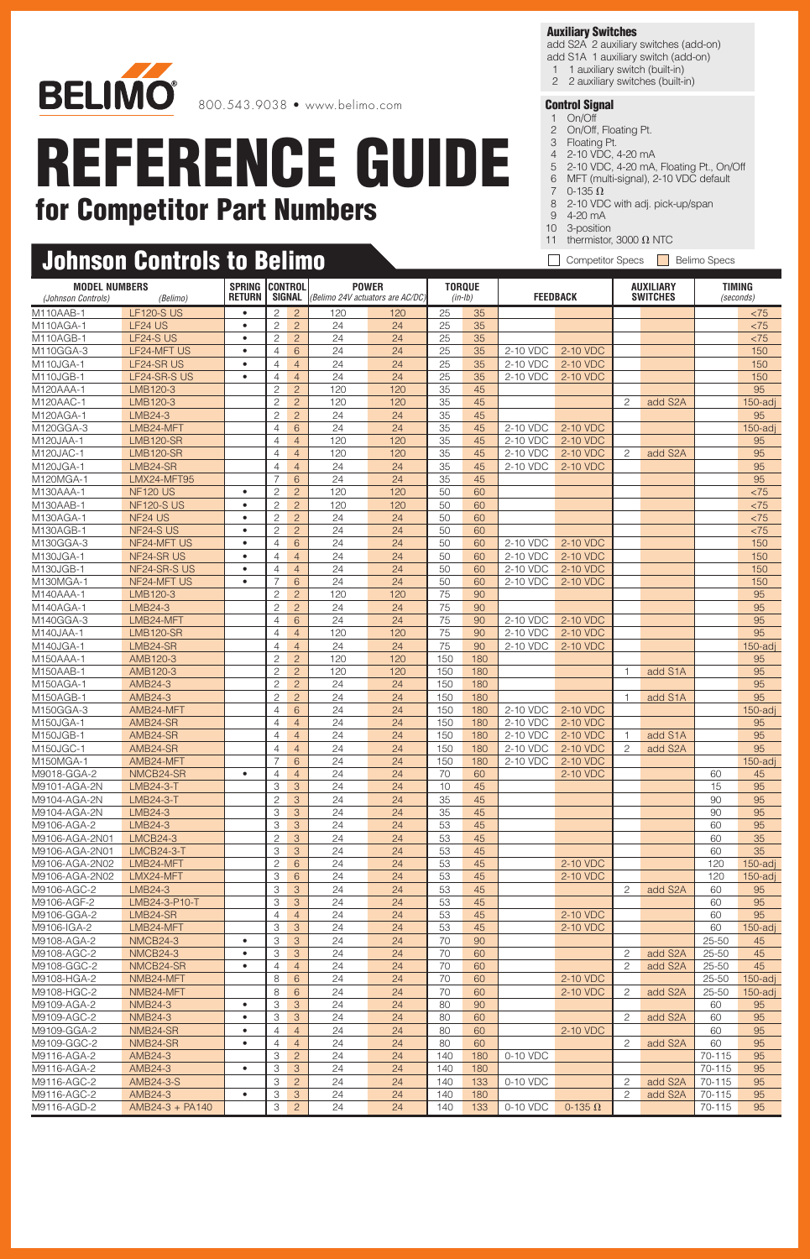

#### **Auxiliary Switches**

add S2A 2 auxiliary switches (add-on) add S1A 1 auxiliary switch (add-on)

- 1 1 auxiliary switch (built-in)
- 2 2 auxiliary switches (built-in)

- 1 On/Off 2 On/Off, Floating Pt.
- 3 Floating Pt.
- 4 2-10 VDC, 4-20 mA
- 5 2-10 VDC, 4-20 mA, Floating Pt., On/Off
- 6 MFT (multi-signal), 2-10 VDC default
- 7  $0-135 \Omega$
- 8 2-10 VDC with adj. pick-up/span
- 9 4-20 mA 10 3-position
- 11 thermistor, 3000  $\Omega$  NTC
- Competitor Specs Belimo Specs

|                                            | <b>Johnson Controls to Belimo</b> |                                |                                  |                                  |           |                                                  |                            | <b>Competitor Specs</b><br>$\mathbf{I}$<br><b>Belimo Specs</b> |                      |                      |                                     |                      |                 |                            |  |
|--------------------------------------------|-----------------------------------|--------------------------------|----------------------------------|----------------------------------|-----------|--------------------------------------------------|----------------------------|----------------------------------------------------------------|----------------------|----------------------|-------------------------------------|----------------------|-----------------|----------------------------|--|
| <b>MODEL NUMBERS</b><br>(Johnson Controls) | (Belimo)                          | <b>SPRING</b><br><b>RETURN</b> | <b>CONTROL</b><br>SIGNAL         |                                  |           | <b>POWER</b><br>(Belimo 24V actuators are AC/DC) | <b>TORQUE</b><br>$(in-lb)$ |                                                                |                      | <b>FEEDBACK</b>      | <b>AUXILIARY</b><br><b>SWITCHES</b> |                      |                 | <b>TIMING</b><br>(seconds) |  |
| M110AAB-1                                  | <b>LF120-S US</b>                 | $\bullet$                      | $\overline{c}$                   | $\overline{2}$                   | 120       | 120                                              | 25                         | 35                                                             |                      |                      |                                     |                      |                 | < 75                       |  |
| M110AGA-1                                  | LF24 US                           | $\bullet$                      | $\overline{c}$                   | $\overline{2}$                   | 24        | 24                                               | 25                         | 35                                                             |                      |                      |                                     |                      |                 | < 75                       |  |
| M110AGB-1                                  | LF24-S US                         | $\bullet$                      | $\overline{c}$                   | $\overline{c}$                   | 24        | 24                                               | 25                         | 35                                                             |                      |                      |                                     |                      |                 | < 75                       |  |
| M110GGA-3                                  | LF24-MFT US                       | $\bullet$                      | $\overline{4}$                   | 6                                | 24        | 24                                               | 25                         | 35                                                             | 2-10 VDC             | 2-10 VDC             |                                     |                      |                 | 150                        |  |
| M110JGA-1                                  | LF24-SR US                        | $\bullet$                      | $\overline{4}$                   | $\overline{4}$                   | 24        | 24                                               | 25                         | 35                                                             | 2-10 VDC             | 2-10 VDC             |                                     |                      |                 | 150                        |  |
| M110JGB-1<br>M120AAA-1                     | LF24-SR-S US<br>LMB120-3          | $\bullet$                      | $\overline{4}$<br>$\overline{c}$ | $\overline{4}$<br>$\overline{2}$ | 24<br>120 | 24<br>120                                        | 25<br>35                   | 35<br>45                                                       | 2-10 VDC             | 2-10 VDC             |                                     |                      |                 | 150<br>95                  |  |
| M120AAC-1                                  | LMB120-3                          |                                | $\overline{c}$                   | $\overline{c}$                   | 120       | 120                                              | 35                         | 45                                                             |                      |                      | $\overline{c}$                      | add S2A              |                 | $150$ -adj                 |  |
| M120AGA-1                                  | LMB24-3                           |                                | $\mathbf{2}$                     | $\overline{c}$                   | 24        | 24                                               | 35                         | 45                                                             |                      |                      |                                     |                      |                 | 95                         |  |
| M120GGA-3                                  | LMB24-MFT                         |                                | $\overline{4}$                   | 6                                | 24        | 24                                               | 35                         | 45                                                             | 2-10 VDC             | 2-10 VDC             |                                     |                      |                 | $150$ -adj                 |  |
| M120JAA-1                                  | <b>LMB120-SR</b>                  |                                | $\overline{4}$                   | $\overline{4}$                   | 120       | 120                                              | 35                         | 45                                                             | 2-10 VDC             | 2-10 VDC             |                                     |                      |                 | 95                         |  |
| M120JAC-1                                  | <b>LMB120-SR</b>                  |                                | $\overline{4}$                   | $\overline{4}$                   | 120       | 120                                              | 35                         | 45                                                             | 2-10 VDC             | 2-10 VDC             | 2                                   | add S2A              |                 | 95                         |  |
| M120JGA-1                                  | LMB24-SR                          |                                | $\overline{4}$                   | $\overline{4}$                   | 24        | 24                                               | 35                         | 45                                                             | 2-10 VDC             | 2-10 VDC             |                                     |                      |                 | 95                         |  |
| M120MGA-1                                  | LMX24-MFT95                       |                                | $\overline{7}$                   | 6                                | 24        | 24                                               | 35                         | 45                                                             |                      |                      |                                     |                      |                 | 95                         |  |
| M130AAA-1                                  | <b>NF120 US</b>                   | $\bullet$                      | $\overline{c}$                   | $\overline{2}$                   | 120       | 120                                              | 50                         | 60                                                             |                      |                      |                                     |                      |                 | < 75                       |  |
| M130AAB-1                                  | <b>NF120-S US</b>                 | $\bullet$                      | $\mathbf{2}$                     | $\overline{c}$                   | 120       | 120                                              | 50                         | 60                                                             |                      |                      |                                     |                      |                 | < 75                       |  |
| M130AGA-1                                  | NF24 US                           | $\bullet$                      | $\overline{c}$                   | $\overline{c}$                   | 24        | 24                                               | 50                         | 60                                                             |                      |                      |                                     |                      |                 | < 75                       |  |
| M130AGB-1                                  | NF24-SUS                          | $\bullet$                      | $\overline{c}$                   | $\overline{c}$                   | 24        | 24                                               | 50                         | 60                                                             |                      |                      |                                     |                      |                 | < 75                       |  |
| M130GGA-3<br>M130JGA-1                     | NF24-MFT US                       | $\bullet$<br>$\bullet$         | $\overline{4}$                   | 6                                | 24<br>24  | 24                                               | 50                         | 60                                                             | 2-10 VDC<br>2-10 VDC | 2-10 VDC<br>2-10 VDC |                                     |                      |                 | 150                        |  |
| M130JGB-1                                  | NF24-SR US<br>NF24-SR-S US        | $\bullet$                      | $\overline{4}$<br>$\overline{4}$ | $\overline{4}$<br>$\overline{4}$ | 24        | 24<br>24                                         | 50<br>50                   | 60<br>60                                                       | 2-10 VDC             | 2-10 VDC             |                                     |                      |                 | 150<br>150                 |  |
| M130MGA-1                                  | NF24-MFT US                       | $\bullet$                      | $\overline{7}$                   | 6                                | 24        | 24                                               | 50                         | 60                                                             | 2-10 VDC             | 2-10 VDC             |                                     |                      |                 | 150                        |  |
| M140AAA-1                                  | LMB120-3                          |                                | $\overline{c}$                   | $\overline{c}$                   | 120       | 120                                              | 75                         | 90                                                             |                      |                      |                                     |                      |                 | 95                         |  |
| M140AGA-1                                  | LMB24-3                           |                                | $\overline{c}$                   | $\overline{c}$                   | 24        | 24                                               | 75                         | 90                                                             |                      |                      |                                     |                      |                 | 95                         |  |
| M140GGA-3                                  | LMB24-MFT                         |                                | $\overline{4}$                   | 6                                | 24        | 24                                               | 75                         | 90                                                             | 2-10 VDC             | 2-10 VDC             |                                     |                      |                 | 95                         |  |
| M140JAA-1                                  | <b>LMB120-SR</b>                  |                                | $\overline{4}$                   | $\overline{4}$                   | 120       | 120                                              | 75                         | 90                                                             | 2-10 VDC             | 2-10 VDC             |                                     |                      |                 | 95                         |  |
| M140JGA-1                                  | LMB24-SR                          |                                | $\overline{4}$                   | $\overline{4}$                   | 24        | 24                                               | 75                         | 90                                                             | 2-10 VDC             | 2-10 VDC             |                                     |                      |                 | $150$ -adj                 |  |
| M150AAA-1                                  | AMB120-3                          |                                | $\mathbf{2}$                     | $\overline{2}$                   | 120       | 120                                              | 150                        | 180                                                            |                      |                      |                                     |                      |                 | 95                         |  |
| M150AAB-1                                  | AMB120-3                          |                                | $\overline{c}$                   | $\overline{c}$                   | 120       | 120                                              | 150                        | 180                                                            |                      |                      | $\mathbf{1}$                        | add S1A              |                 | 95                         |  |
| M150AGA-1                                  | AMB24-3                           |                                | $\overline{c}$                   | $\overline{c}$                   | 24        | 24                                               | 150                        | 180                                                            |                      |                      |                                     |                      |                 | 95                         |  |
| M150AGB-1                                  | AMB24-3                           |                                | $\mathbf{2}$                     | $\overline{c}$                   | 24        | 24                                               | 150                        | 180                                                            |                      |                      | $\mathbf{1}$                        | add S1A              |                 | 95                         |  |
| M150GGA-3                                  | AMB24-MFT                         |                                | $\overline{4}$                   | 6                                | 24        | 24                                               | 150                        | 180                                                            | 2-10 VDC             | 2-10 VDC             |                                     |                      |                 | $150$ -adj                 |  |
| M150JGA-1                                  | AMB24-SR                          |                                | $\overline{4}$                   | $\overline{4}$                   | 24        | 24                                               | 150                        | 180                                                            | 2-10 VDC             | 2-10 VDC             |                                     |                      |                 | 95                         |  |
| M150JGB-1                                  | AMB24-SR                          |                                | $\overline{4}$                   | $\overline{4}$                   | 24        | 24                                               | 150                        | 180                                                            | 2-10 VDC             | 2-10 VDC             | -1                                  | add S1A              |                 | 95                         |  |
| M150JGC-1<br>M150MGA-1                     | AMB24-SR<br>AMB24-MFT             |                                | $\overline{4}$<br>$\overline{7}$ | $\overline{4}$<br>6              | 24<br>24  | 24<br>24                                         | 150<br>150                 | 180<br>180                                                     | 2-10 VDC<br>2-10 VDC | 2-10 VDC<br>2-10 VDC | 2                                   | add S2A              |                 | 95<br>$150$ -adj           |  |
| M9018-GGA-2                                | NMCB24-SR                         | $\bullet$                      | $\overline{4}$                   | $\overline{4}$                   | 24        | 24                                               | 70                         | 60                                                             |                      | 2-10 VDC             |                                     |                      | 60              | 45                         |  |
| M9101-AGA-2N                               | <b>LMB24-3-T</b>                  |                                | 3                                | 3                                | 24        | 24                                               | 10                         | 45                                                             |                      |                      |                                     |                      | 15              | 95                         |  |
| M9104-AGA-2N                               | <b>LMB24-3-T</b>                  |                                | $\overline{c}$                   | 3                                | 24        | 24                                               | 35                         | 45                                                             |                      |                      |                                     |                      | 90              | 95                         |  |
| M9104-AGA-2N                               | LMB24-3                           |                                | 3                                | 3                                | 24        | 24                                               | 35                         | 45                                                             |                      |                      |                                     |                      | 90              | 95                         |  |
| M9106-AGA-2                                | LMB24-3                           |                                | $\ensuremath{\mathsf{3}}$        | 3                                | 24        | 24                                               | 53                         | 45                                                             |                      |                      |                                     |                      | 60              | 95                         |  |
| M9106-AGA-2N01                             | <b>LMCB24-3</b>                   |                                | $\mathbf{2}$                     | 3                                | 24        | 24                                               | 53                         | 45                                                             |                      |                      |                                     |                      | 60              | 35                         |  |
| M9106-AGA-2N01                             | <b>LMCB24-3-T</b>                 |                                | 3                                | 3                                | 24        | 24                                               | 53                         | 45                                                             |                      |                      |                                     |                      | 60              | 35                         |  |
| M9106-AGA-2N02                             | LMB24-MFT                         |                                | $\mathbf{2}$                     | $6\phantom{.}6$                  | 24        | 24                                               | 53                         | 45                                                             |                      | 2-10 VDC             |                                     |                      | 120             | $150$ -adj                 |  |
| M9106-AGA-2N02                             | LMX24-MFT                         |                                | 3                                | 6                                | 24        | 24                                               | 53                         | 45                                                             |                      | 2-10 VDC             |                                     |                      | 120             | $150$ -adj                 |  |
| M9106-AGC-2                                | LMB24-3                           |                                | 3                                | $\sqrt{3}$                       | 24        | 24                                               | 53                         | 45                                                             |                      |                      | 2                                   | add S2A              | 60              | 95                         |  |
| M9106-AGF-2                                | LMB24-3-P10-T                     |                                | 3                                | 3                                | 24        | 24                                               | 53                         | 45                                                             |                      |                      |                                     |                      | 60              | 95                         |  |
| M9106-GGA-2                                | LMB24-SR                          |                                | $\overline{4}$                   | $\overline{4}$                   | 24        | 24                                               | 53                         | 45                                                             |                      | 2-10 VDC             |                                     |                      | 60              | 95                         |  |
| M9106-IGA-2                                | LMB24-MFT                         |                                | 3                                | 3                                | 24        | 24                                               | 53                         | 45                                                             |                      | 2-10 VDC             |                                     |                      | 60<br>$25 - 50$ | $150$ -adj                 |  |
| M9108-AGA-2<br>M9108-AGC-2                 | NMCB24-3<br>NMCB24-3              | $\bullet$<br>$\bullet$         | 3<br>$\ensuremath{\mathsf{3}}$   | 3<br>3                           | 24<br>24  | 24<br>24                                         | 70<br>70                   | 90<br>60                                                       |                      |                      | $\overline{c}$                      | add S2A              | $25 - 50$       | 45<br>45                   |  |
| M9108-GGC-2                                | NMCB24-SR                         | $\bullet$                      | $\overline{4}$                   | $\overline{4}$                   | 24        | 24                                               | 70                         | 60                                                             |                      |                      | 2                                   | add S2A              | 25-50           | 45                         |  |
| M9108-HGA-2                                | NMB24-MFT                         |                                | 8                                | 6                                | 24        | 24                                               | 70                         | 60                                                             |                      | 2-10 VDC             |                                     |                      | 25-50           | $150$ -adj                 |  |
| M9108-HGC-2                                | NMB24-MFT                         |                                | 8                                | 6                                | 24        | 24                                               | 70                         | 60                                                             |                      | 2-10 VDC             | 2                                   | add S2A              | $25 - 50$       | $150$ -adj                 |  |
| M9109-AGA-2                                | <b>NMB24-3</b>                    | $\bullet$                      | 3                                | 3                                | 24        | 24                                               | 80                         | 90                                                             |                      |                      |                                     |                      | 60              | 95                         |  |
| M9109-AGC-2                                | <b>NMB24-3</b>                    | $\bullet$                      | 3                                | 3                                | 24        | 24                                               | 80                         | 60                                                             |                      |                      | 2                                   | add S2A              | 60              | 95                         |  |
| M9109-GGA-2                                | NMB24-SR                          | $\bullet$                      | $\overline{4}$                   | $\overline{4}$                   | 24        | 24                                               | 80                         | 60                                                             |                      | 2-10 VDC             |                                     |                      | 60              | 95                         |  |
| M9109-GGC-2                                | NMB24-SR                          | $\bullet$                      | $\overline{4}$                   | $\overline{4}$                   | 24        | 24                                               | 80                         | 60                                                             |                      |                      | 2                                   | add S2A              | 60              | 95                         |  |
| M9116-AGA-2                                | AMB24-3                           |                                | 3                                | $\overline{c}$                   | 24        | 24                                               | 140                        | 180                                                            | 0-10 VDC             |                      |                                     |                      | 70-115          | 95                         |  |
| M9116-AGA-2                                | AMB24-3                           | $\bullet$                      | 3                                | 3                                | 24        | 24                                               | 140                        | 180                                                            |                      |                      |                                     |                      | 70-115          | 95                         |  |
| M9116-AGC-2                                | AMB24-3-S                         |                                | 3                                | $\overline{2}$                   | 24        | 24                                               | 140                        | 133                                                            | 0-10 VDC             |                      | $\overline{c}$                      | add S2A              | 70-115          | 95                         |  |
| M9116-AGC-2                                | AMB24-3                           | $\bullet$                      | 3                                | 3                                | 24        | 24                                               | 140                        | 180                                                            |                      |                      | 2                                   | add S <sub>2</sub> A | 70-115          | 95                         |  |
| M9116-AGD-2                                | AMB24-3 + PA140                   |                                | 3                                | $\overline{c}$                   | 24        | 24                                               | 140                        | 133                                                            | 0-10 VDC             | 0-135 $\Omega$       |                                     |                      | 70-115          | 95                         |  |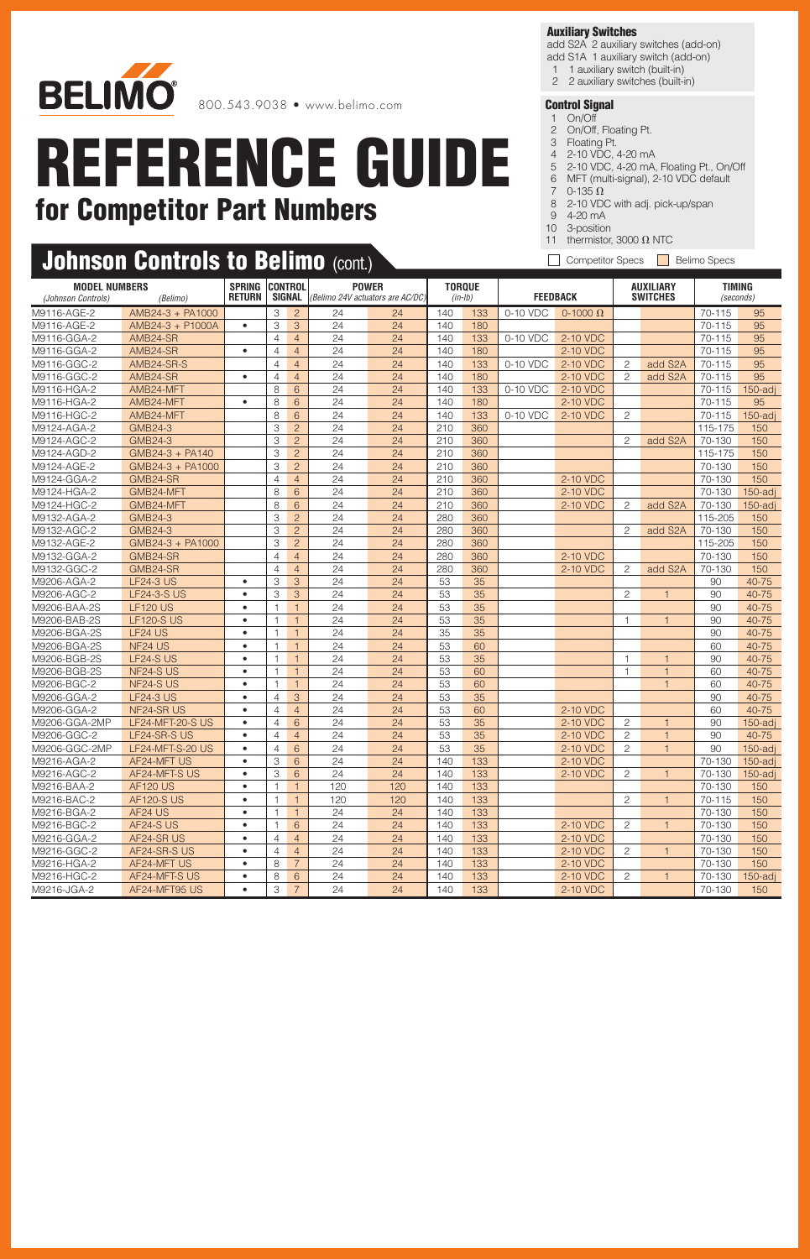

800.543.9038 • www.belimo.com

# **REFERENCE GUIDE for Competitor Part Numbers**

#### **Auxiliary Switches**

add S2A 2 auxiliary switches (add-on) add S1A 1 auxiliary switch (add-on)

- 1 1 auxiliary switch (built-in)
- 2 2 auxiliary switches (built-in)

- 1 On/Off 2 On/Off, Floating Pt.
- 3 Floating Pt.
- 4 2-10 VDC, 4-20 mA
- 5 2-10 VDC, 4-20 mA, Floating Pt., On/Off
- 6 MFT (multi-signal), 2-10 VDC default
- 7  $0-135 \Omega$
- 8 2-10 VDC with adj. pick-up/span
- 9 4-20 mA
- 10 3-position 11 thermistor, 3000  $\Omega$  NTC
- Competitor Specs Belimo Specs

| <b>Johnson Controls to Belimo</b> $(\text{cont.})$ |  |  |
|----------------------------------------------------|--|--|
|                                                    |  |  |

| <b>MODEL NUMBERS</b><br>(Johnson Controls)<br>(Belimo) |                         | <b>SPRING</b><br><b>RETURN</b> | <b>CONTROL</b><br>SIGNAL |                 |                 | <b>POWER</b><br>(Belimo 24V actuators are AC/DC) | <b>TORQUE</b><br>$(in-lb)$ |     | <b>FEEDBACK</b> |                 | <b>AUXILIARY</b><br><b>SWITCHES</b> |                | <b>TIMING</b><br>(seconds) |            |
|--------------------------------------------------------|-------------------------|--------------------------------|--------------------------|-----------------|-----------------|--------------------------------------------------|----------------------------|-----|-----------------|-----------------|-------------------------------------|----------------|----------------------------|------------|
| M9116-AGE-2                                            | AMB24-3 + PA1000        |                                | 3                        | $\overline{2}$  | 24              | 24                                               | 140                        | 133 | 0-10 VDC        | 0-1000 $\Omega$ |                                     |                | 70-115                     | 95         |
| M9116-AGE-2                                            | AMB24-3 + P1000A        | $\bullet$                      | 3                        | 3               | 24              | 24                                               | 140                        | 180 |                 |                 |                                     |                | 70-115                     | 95         |
| M9116-GGA-2                                            | AMB24-SR                |                                | $\overline{4}$           | $\overline{4}$  | 24              | 24                                               | 140                        | 133 | 0-10 VDC        | 2-10 VDC        |                                     |                | 70-115                     | 95         |
| M9116-GGA-2                                            | AMB24-SR                | $\bullet$                      | $\overline{4}$           | $\overline{4}$  | 24              | 24                                               | 140                        | 180 |                 | 2-10 VDC        |                                     |                | 70-115                     | 95         |
| M9116-GGC-2                                            | AMB24-SR-S              |                                | $\overline{4}$           | $\overline{4}$  | 24              | 24                                               | 140                        | 133 | $0-10$ VDC      | 2-10 VDC        | 2                                   | add S2A        | 70-115                     | 95         |
| M9116-GGC-2                                            | AMB24-SR                | $\bullet$                      | $\overline{4}$           | $\overline{4}$  | 24              | 24                                               | 140                        | 180 |                 | 2-10 VDC        | $\overline{c}$                      | add S2A        | 70-115                     | 95         |
| M9116-HGA-2                                            | AMB24-MFT               |                                | 8                        | 6               | 24              | 24                                               | 140                        | 133 | 0-10 VDC        | 2-10 VDC        |                                     |                | 70-115                     | $150$ -adj |
| M9116-HGA-2                                            | AMB24-MFT               | $\bullet$                      | 8                        | 6               | 24              | 24                                               | 140                        | 180 |                 | 2-10 VDC        |                                     |                | 70-115                     | 95         |
| M9116-HGC-2                                            | AMB24-MFT               |                                | 8                        | $6\phantom{1}6$ | 24              | 24                                               | 140                        | 133 | 0-10 VDC        | 2-10 VDC        | $\overline{c}$                      |                | 70-115                     | $150$ -adj |
| M9124-AGA-2                                            | <b>GMB24-3</b>          |                                | 3                        | $\overline{2}$  | 24              | 24                                               | 210                        | 360 |                 |                 |                                     |                | 115-175                    | 150        |
| M9124-AGC-2                                            | <b>GMB24-3</b>          |                                | 3                        | $\overline{2}$  | 24              | 24                                               | 210                        | 360 |                 |                 | $\overline{c}$                      | add S2A        | 70-130                     | 150        |
| M9124-AGD-2                                            | GMB24-3 + PA140         |                                | 3                        | $\overline{2}$  | 24              | 24                                               | 210                        | 360 |                 |                 |                                     |                | 115-175                    | 150        |
| M9124-AGE-2                                            | GMB24-3 + PA1000        |                                | 3                        | $\overline{2}$  | 24              | 24                                               | 210                        | 360 |                 |                 |                                     |                | 70-130                     | 150        |
| M9124-GGA-2                                            | GMB24-SR                |                                | $\overline{4}$           | $\overline{4}$  | 24              | 24                                               | 210                        | 360 |                 | 2-10 VDC        |                                     |                | 70-130                     | 150        |
| M9124-HGA-2                                            | GMB24-MFT               |                                | 8                        | 6               | 24              | 24                                               | 210                        | 360 |                 | 2-10 VDC        |                                     |                | 70-130                     | $150$ -adj |
| M9124-HGC-2                                            | GMB24-MFT               |                                | 8                        | 6               | 24              | 24                                               | 210                        | 360 |                 | 2-10 VDC        | 2                                   | add S2A        | 70-130                     | 150-adj    |
| M9132-AGA-2                                            | <b>GMB24-3</b>          |                                | 3                        | $\overline{c}$  | 24              | 24                                               | 280                        | 360 |                 |                 |                                     |                | 115-205                    | 150        |
| M9132-AGC-2                                            | <b>GMB24-3</b>          |                                | 3                        | $\overline{c}$  | 24              | 24                                               | 280                        | 360 |                 |                 | $\overline{c}$                      | add S2A        | 70-130                     | 150        |
| M9132-AGE-2                                            | GMB24-3 + PA1000        |                                | 3                        | $\overline{c}$  | 24              | 24                                               | 280                        | 360 |                 |                 |                                     |                | 115-205                    | 150        |
| M9132-GGA-2                                            | GMB24-SR                |                                | $\overline{4}$           | $\overline{4}$  | 24              | 24                                               | 280                        | 360 |                 | 2-10 VDC        |                                     |                | 70-130                     | 150        |
| M9132-GGC-2                                            | GMB24-SR                |                                | $\overline{4}$           | $\overline{4}$  | 24              | 24                                               | 280                        | 360 |                 | 2-10 VDC        | 2                                   | add S2A        | 70-130                     | 150        |
| M9206-AGA-2                                            | <b>LF24-3 US</b>        | $\bullet$                      | 3                        | 3               | 24              | 24                                               | 53                         | 35  |                 |                 |                                     |                | 90                         | 40-75      |
| M9206-AGC-2                                            | <b>LF24-3-S US</b>      | $\bullet$                      | 3                        | 3               | 24              | 24                                               | 53                         | 35  |                 |                 | $\overline{c}$                      | $\mathbf{1}$   | 90                         | 40-75      |
| M9206-BAA-2S                                           | <b>LF120 US</b>         | $\bullet$                      | $\mathbf{1}$             | $\mathbf{1}$    | 24              | $\overline{24}$                                  | 53                         | 35  |                 |                 |                                     |                | 90                         | 40-75      |
| M9206-BAB-2S                                           | <b>LF120-S US</b>       | $\bullet$                      | $\mathbf{1}$             | $\mathbf{1}$    | 24              | 24                                               | 53                         | 35  |                 |                 | $\mathbf{1}$                        | $\mathbf{1}$   | 90                         | 40-75      |
| M9206-BGA-2S                                           | LF24 US                 | $\bullet$                      | $\mathbf{1}$             | $\mathbf{1}$    | 24              | 24                                               | 35                         | 35  |                 |                 |                                     |                | 90                         | 40-75      |
| M9206-BGA-2S                                           | NF <sub>24</sub> US     | $\bullet$                      | $\mathbf{1}$             | $\mathbf{1}$    | 24              | 24                                               | 53                         | 60  |                 |                 |                                     |                | 60                         | 40-75      |
| M9206-BGB-2S                                           | LF24-S US               | $\bullet$                      | $\mathbf{1}$             | $\mathbf{1}$    | 24              | 24                                               | 53                         | 35  |                 |                 | $\mathbf{1}$                        | $\mathbf{1}$   | 90                         | 40-75      |
| M9206-BGB-2S                                           | NF24-SUS                | $\bullet$                      | $\mathbf{1}$             | $\mathbf{1}$    | 24              | 24                                               | 53                         | 60  |                 |                 | $\overline{1}$                      | $\overline{1}$ | 60                         | 40-75      |
| M9206-BGC-2                                            | NF24-SUS                | $\bullet$                      | $\mathbf{1}$             | $\mathbf{1}$    | $\overline{24}$ | 24                                               | 53                         | 60  |                 |                 |                                     |                | 60                         | 40-75      |
| M9206-GGA-2                                            | <b>LF24-3 US</b>        | $\bullet$                      | $\overline{4}$           | 3               | 24              | 24                                               | 53                         | 35  |                 |                 |                                     |                | 90                         | 40-75      |
| M9206-GGA-2                                            | NF24-SR US              | $\bullet$                      | $\overline{4}$           | $\overline{4}$  | 24              | 24                                               | 53                         | 60  |                 | 2-10 VDC        |                                     |                | 60                         | 40-75      |
| M9206-GGA-2MP                                          | <b>LF24-MFT-20-S US</b> | $\bullet$                      | $\overline{4}$           | 6               | 24              | 24                                               | 53                         | 35  |                 | 2-10 VDC        | 2                                   | $\mathbf{1}$   | 90                         | $150$ -adi |
| M9206-GGC-2                                            | LF24-SR-S US            | $\bullet$                      | $\overline{4}$           | $\overline{4}$  | 24              | 24                                               | 53                         | 35  |                 | 2-10 VDC        | $\overline{c}$                      | $\mathbf{1}$   | 90                         | 40-75      |
| M9206-GGC-2MP                                          | LF24-MFT-S-20 US        | $\bullet$                      | $\overline{4}$           | $6\phantom{1}6$ | 24              | 24                                               | 53                         | 35  |                 | 2-10 VDC        | $\overline{c}$                      | $\mathbf{1}$   | 90                         | $150$ -adj |
| M9216-AGA-2                                            | AF24-MFT US             | $\bullet$                      | 3                        | 6               | 24              | 24                                               | 140                        | 133 |                 | 2-10 VDC        |                                     |                | 70-130                     | 150-adj    |
| M9216-AGC-2                                            | AF24-MFT-S US           | $\bullet$                      | 3                        | 6               | 24              | 24                                               | 140                        | 133 |                 | 2-10 VDC        | 2                                   | $\mathbf{1}$   | 70-130                     | 150-adj    |
| M9216-BAA-2                                            | <b>AF120 US</b>         | $\bullet$                      | $\mathbf{1}$             | $\mathbf{1}$    | 120             | 120                                              | 140                        | 133 |                 |                 |                                     |                | 70-130                     | 150        |
| M9216-BAC-2                                            | <b>AF120-S US</b>       | $\bullet$                      | $\mathbf{1}$             | $\mathbf{1}$    | 120             | 120                                              | 140                        | 133 |                 |                 | 2                                   | $\mathbf{1}$   | 70-115                     | 150        |
| M9216-BGA-2                                            | AF24 US                 | $\bullet$                      | $\mathbf{1}$             | $\mathbf{1}$    | 24              | 24                                               | 140                        | 133 |                 |                 |                                     |                | 70-130                     | 150        |
| M9216-BGC-2                                            | AF24-S US               | $\bullet$                      | $\mathbf{1}$             | 6               | 24              | 24                                               | 140                        | 133 |                 | 2-10 VDC        | $\mathbf{2}$                        | $\overline{1}$ | 70-130                     | 150        |
| M9216-GGA-2                                            | AF24-SR US              | $\bullet$                      | $\overline{4}$           | $\overline{4}$  | 24              | 24                                               | 140                        | 133 |                 | 2-10 VDC        |                                     |                | 70-130                     | 150        |
| M9216-GGC-2                                            | AF24-SR-S US            | $\bullet$                      | $\overline{4}$           | $\overline{4}$  | 24              | 24                                               | 140                        | 133 |                 | 2-10 VDC        | $\overline{c}$                      | 1              | 70-130                     | 150        |
| M9216-HGA-2                                            | AF24-MFT US             | $\bullet$                      | 8                        | $\overline{7}$  | 24              | 24                                               | 140                        | 133 |                 | 2-10 VDC        |                                     |                | 70-130                     | 150        |
| M9216-HGC-2                                            | AF24-MFT-S US           | $\bullet$                      | 8                        | 6               | 24              | 24                                               | 140                        | 133 |                 | 2-10 VDC        | 2                                   | $\mathbf{1}$   | 70-130                     | $150$ -adi |
| M9216-JGA-2                                            | AF24-MFT95 US           | $\bullet$                      | 3                        | $\overline{7}$  | 24              | 24                                               | 140                        | 133 |                 | 2-10 VDC        |                                     |                | 70-130                     | 150        |